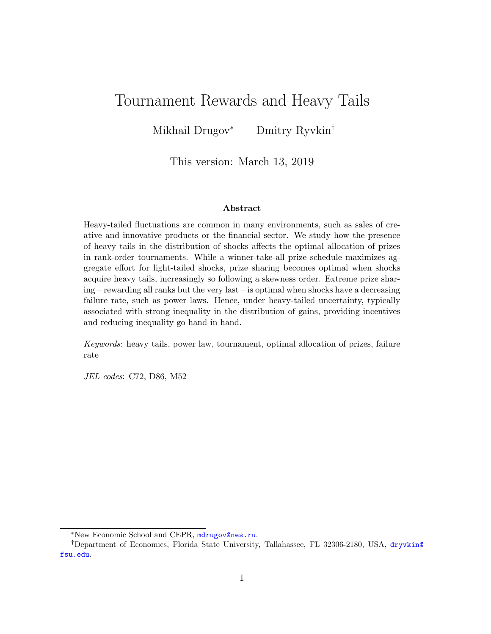# Tournament Rewards and Heavy Tails

Mikhail Drugov<sup>∗</sup> Dmitry Ryvkin†

This version: March 13, 2019

### Abstract

Heavy-tailed fluctuations are common in many environments, such as sales of creative and innovative products or the financial sector. We study how the presence of heavy tails in the distribution of shocks affects the optimal allocation of prizes in rank-order tournaments. While a winner-take-all prize schedule maximizes aggregate effort for light-tailed shocks, prize sharing becomes optimal when shocks acquire heavy tails, increasingly so following a skewness order. Extreme prize sharing – rewarding all ranks but the very last – is optimal when shocks have a decreasing failure rate, such as power laws. Hence, under heavy-tailed uncertainty, typically associated with strong inequality in the distribution of gains, providing incentives and reducing inequality go hand in hand.

Keywords: heavy tails, power law, tournament, optimal allocation of prizes, failure rate

JEL codes: C72, D86, M52

<sup>∗</sup>New Economic School and CEPR, <mdrugov@nes.ru>.

<sup>†</sup>Department of Economics, Florida State University, Tallahassee, FL 32306-2180, USA, [dryvkin@](dryvkin@fsu.edu) [fsu.edu](dryvkin@fsu.edu).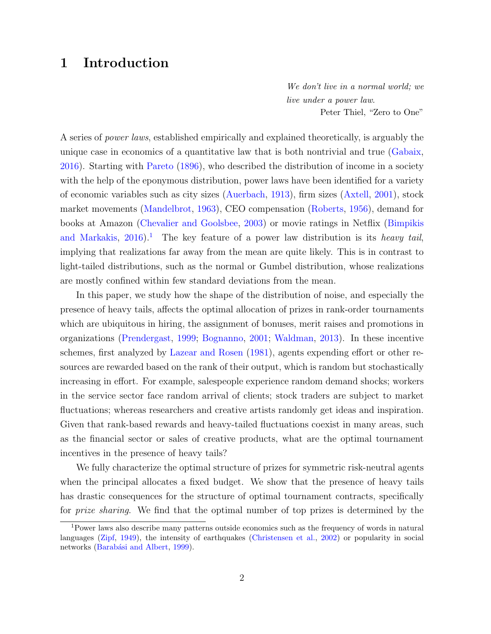# 1 Introduction

We don't live in a normal world; we live under a power law. Peter Thiel, "Zero to One"

A series of power laws, established empirically and explained theoretically, is arguably the unique case in economics of a quantitative law that is both nontrivial and true [\(Gabaix,](#page-27-0) [2016\)](#page-27-0). Starting with [Pareto](#page-29-0) [\(1896\)](#page-29-0), who described the distribution of income in a society with the help of the eponymous distribution, power laws have been identified for a variety of economic variables such as city sizes [\(Auerbach,](#page-25-0) [1913\)](#page-25-0), firm sizes [\(Axtell,](#page-26-0) [2001\)](#page-26-0), stock market movements [\(Mandelbrot,](#page-29-1) [1963\)](#page-29-1), CEO compensation [\(Roberts,](#page-30-0) [1956\)](#page-30-0), demand for books at Amazon [\(Chevalier and Goolsbee,](#page-26-1) [2003\)](#page-26-1) or movie ratings in Netflix [\(Bimpikis](#page-26-2) [and Markakis,](#page-26-2)  $2016$  $2016$  $2016$ .<sup>1</sup> The key feature of a power law distribution is its *heavy tail*, implying that realizations far away from the mean are quite likely. This is in contrast to light-tailed distributions, such as the normal or Gumbel distribution, whose realizations are mostly confined within few standard deviations from the mean.

In this paper, we study how the shape of the distribution of noise, and especially the presence of heavy tails, affects the optimal allocation of prizes in rank-order tournaments which are ubiquitous in hiring, the assignment of bonuses, merit raises and promotions in organizations [\(Prendergast,](#page-30-1) [1999;](#page-30-1) [Bognanno,](#page-26-3) [2001;](#page-26-3) [Waldman,](#page-31-0) [2013\)](#page-31-0). In these incentive schemes, first analyzed by [Lazear and Rosen](#page-29-2) [\(1981\)](#page-29-2), agents expending effort or other resources are rewarded based on the rank of their output, which is random but stochastically increasing in effort. For example, salespeople experience random demand shocks; workers in the service sector face random arrival of clients; stock traders are subject to market fluctuations; whereas researchers and creative artists randomly get ideas and inspiration. Given that rank-based rewards and heavy-tailed fluctuations coexist in many areas, such as the financial sector or sales of creative products, what are the optimal tournament incentives in the presence of heavy tails?

We fully characterize the optimal structure of prizes for symmetric risk-neutral agents when the principal allocates a fixed budget. We show that the presence of heavy tails has drastic consequences for the structure of optimal tournament contracts, specifically for prize sharing. We find that the optimal number of top prizes is determined by the

<span id="page-1-0"></span><sup>1</sup>Power laws also describe many patterns outside economics such as the frequency of words in natural languages [\(Zipf,](#page-31-1) [1949\)](#page-31-1), the intensity of earthquakes [\(Christensen et al.,](#page-26-4) [2002\)](#page-26-4) or popularity in social networks (Barabási and Albert, [1999\)](#page-26-5).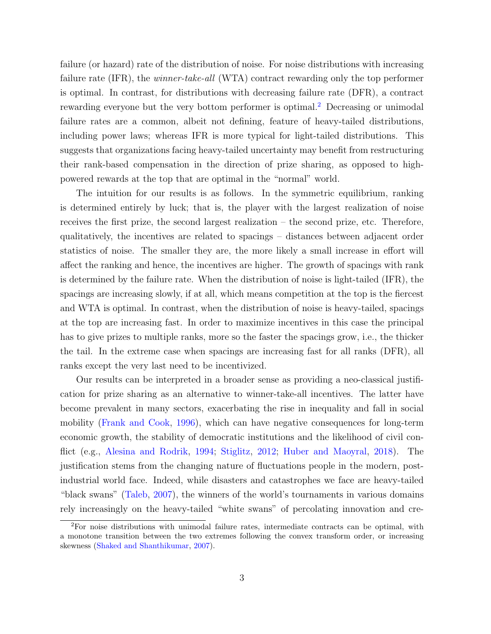failure (or hazard) rate of the distribution of noise. For noise distributions with increasing failure rate (IFR), the *winner-take-all* (WTA) contract rewarding only the top performer is optimal. In contrast, for distributions with decreasing failure rate (DFR), a contract rewarding everyone but the very bottom performer is optimal.<sup>[2](#page-2-0)</sup> Decreasing or unimodal failure rates are a common, albeit not defining, feature of heavy-tailed distributions, including power laws; whereas IFR is more typical for light-tailed distributions. This suggests that organizations facing heavy-tailed uncertainty may benefit from restructuring their rank-based compensation in the direction of prize sharing, as opposed to highpowered rewards at the top that are optimal in the "normal" world.

The intuition for our results is as follows. In the symmetric equilibrium, ranking is determined entirely by luck; that is, the player with the largest realization of noise receives the first prize, the second largest realization – the second prize, etc. Therefore, qualitatively, the incentives are related to spacings – distances between adjacent order statistics of noise. The smaller they are, the more likely a small increase in effort will affect the ranking and hence, the incentives are higher. The growth of spacings with rank is determined by the failure rate. When the distribution of noise is light-tailed (IFR), the spacings are increasing slowly, if at all, which means competition at the top is the fiercest and WTA is optimal. In contrast, when the distribution of noise is heavy-tailed, spacings at the top are increasing fast. In order to maximize incentives in this case the principal has to give prizes to multiple ranks, more so the faster the spacings grow, i.e., the thicker the tail. In the extreme case when spacings are increasing fast for all ranks (DFR), all ranks except the very last need to be incentivized.

Our results can be interpreted in a broader sense as providing a neo-classical justification for prize sharing as an alternative to winner-take-all incentives. The latter have become prevalent in many sectors, exacerbating the rise in inequality and fall in social mobility [\(Frank and Cook,](#page-27-1) [1996\)](#page-27-1), which can have negative consequences for long-term economic growth, the stability of democratic institutions and the likelihood of civil conflict (e.g., [Alesina and Rodrik,](#page-25-1) [1994;](#page-25-1) [Stiglitz,](#page-30-2) [2012;](#page-30-2) [Huber and Maoyral,](#page-28-0) [2018\)](#page-28-0). The justification stems from the changing nature of fluctuations people in the modern, postindustrial world face. Indeed, while disasters and catastrophes we face are heavy-tailed "black swans" [\(Taleb,](#page-30-3) [2007\)](#page-30-3), the winners of the world's tournaments in various domains rely increasingly on the heavy-tailed "white swans" of percolating innovation and cre-

<span id="page-2-0"></span><sup>2</sup>For noise distributions with unimodal failure rates, intermediate contracts can be optimal, with a monotone transition between the two extremes following the convex transform order, or increasing skewness [\(Shaked and Shanthikumar,](#page-30-4) [2007\)](#page-30-4).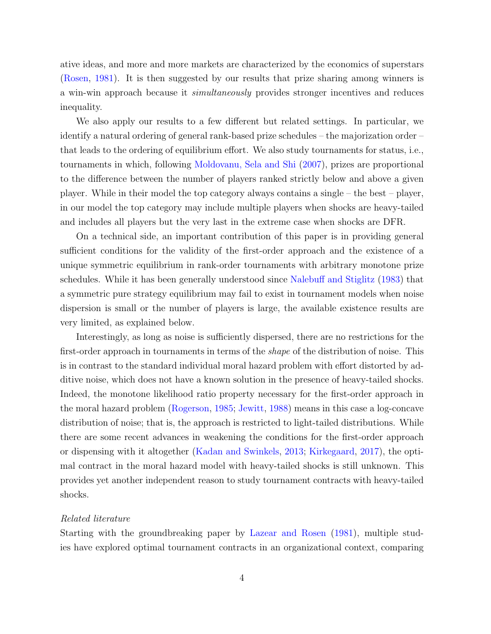ative ideas, and more and more markets are characterized by the economics of superstars [\(Rosen,](#page-30-5) [1981\)](#page-30-5). It is then suggested by our results that prize sharing among winners is a win-win approach because it simultaneously provides stronger incentives and reduces inequality.

We also apply our results to a few different but related settings. In particular, we identify a natural ordering of general rank-based prize schedules – the majorization order – that leads to the ordering of equilibrium effort. We also study tournaments for status, i.e., tournaments in which, following [Moldovanu, Sela and Shi](#page-29-3) [\(2007\)](#page-29-3), prizes are proportional to the difference between the number of players ranked strictly below and above a given player. While in their model the top category always contains a single – the best – player, in our model the top category may include multiple players when shocks are heavy-tailed and includes all players but the very last in the extreme case when shocks are DFR.

On a technical side, an important contribution of this paper is in providing general sufficient conditions for the validity of the first-order approach and the existence of a unique symmetric equilibrium in rank-order tournaments with arbitrary monotone prize schedules. While it has been generally understood since [Nalebuff and Stiglitz](#page-29-4) [\(1983\)](#page-29-4) that a symmetric pure strategy equilibrium may fail to exist in tournament models when noise dispersion is small or the number of players is large, the available existence results are very limited, as explained below.

Interestingly, as long as noise is sufficiently dispersed, there are no restrictions for the first-order approach in tournaments in terms of the *shape* of the distribution of noise. This is in contrast to the standard individual moral hazard problem with effort distorted by additive noise, which does not have a known solution in the presence of heavy-tailed shocks. Indeed, the monotone likelihood ratio property necessary for the first-order approach in the moral hazard problem [\(Rogerson,](#page-30-6) [1985;](#page-30-6) [Jewitt,](#page-28-1) [1988\)](#page-28-1) means in this case a log-concave distribution of noise; that is, the approach is restricted to light-tailed distributions. While there are some recent advances in weakening the conditions for the first-order approach or dispensing with it altogether [\(Kadan and Swinkels,](#page-28-2) [2013;](#page-28-2) [Kirkegaard,](#page-28-3) [2017\)](#page-28-3), the optimal contract in the moral hazard model with heavy-tailed shocks is still unknown. This provides yet another independent reason to study tournament contracts with heavy-tailed shocks.

### Related literature

Starting with the groundbreaking paper by [Lazear and Rosen](#page-29-2) [\(1981\)](#page-29-2), multiple studies have explored optimal tournament contracts in an organizational context, comparing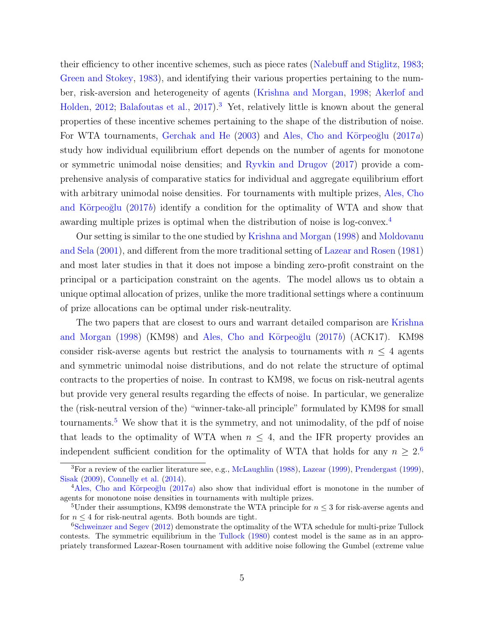their efficiency to other incentive schemes, such as piece rates [\(Nalebuff and Stiglitz,](#page-29-4) [1983;](#page-29-4) [Green and Stokey,](#page-28-4) [1983\)](#page-28-4), and identifying their various properties pertaining to the number, risk-aversion and heterogeneity of agents [\(Krishna and Morgan,](#page-28-5) [1998;](#page-28-5) [Akerlof and](#page-25-2) [Holden,](#page-25-2) [2012;](#page-25-2) [Balafoutas et al.,](#page-26-6) [2017\)](#page-26-6).<sup>[3](#page-4-0)</sup> Yet, relatively little is known about the general properties of these incentive schemes pertaining to the shape of the distribution of noise. For WTA tournaments, [Gerchak and He](#page-27-2)  $(2003)$  and Ales, Cho and Körpeoğlu  $(2017a)$  $(2017a)$ study how individual equilibrium effort depends on the number of agents for monotone or symmetric unimodal noise densities; and [Ryvkin and Drugov](#page-30-7) [\(2017\)](#page-30-7) provide a comprehensive analysis of comparative statics for individual and aggregate equilibrium effort with arbitrary unimodal noise densities. For tournaments with multiple prizes, [Ales, Cho](#page-25-4) and Körpeoğlu  $(2017b)$  $(2017b)$  identify a condition for the optimality of WTA and show that awarding multiple prizes is optimal when the distribution of noise is log-convex.<sup>[4](#page-4-1)</sup>

Our setting is similar to the one studied by [Krishna and Morgan](#page-28-5) [\(1998\)](#page-28-5) and [Moldovanu](#page-29-5) [and Sela](#page-29-5) [\(2001\)](#page-29-5), and different from the more traditional setting of [Lazear and Rosen](#page-29-2) [\(1981\)](#page-29-2) and most later studies in that it does not impose a binding zero-profit constraint on the principal or a participation constraint on the agents. The model allows us to obtain a unique optimal allocation of prizes, unlike the more traditional settings where a continuum of prize allocations can be optimal under risk-neutrality.

The two papers that are closest to ours and warrant detailed comparison are [Krishna](#page-28-5) [and Morgan](#page-28-5) [\(1998\)](#page-28-5) (KM98) and Ales, Cho and Körpeoğlu [\(2017](#page-25-4)b) (ACK17). KM98 consider risk-averse agents but restrict the analysis to tournaments with  $n \leq 4$  agents and symmetric unimodal noise distributions, and do not relate the structure of optimal contracts to the properties of noise. In contrast to KM98, we focus on risk-neutral agents but provide very general results regarding the effects of noise. In particular, we generalize the (risk-neutral version of the) "winner-take-all principle" formulated by KM98 for small tournaments.<sup>[5](#page-4-2)</sup> We show that it is the symmetry, and not unimodality, of the pdf of noise that leads to the optimality of WTA when  $n \leq 4$ , and the IFR property provides an independent sufficient condition for the optimality of WTA that holds for any  $n \geq 2.6$  $n \geq 2.6$ 

<span id="page-4-0"></span><sup>&</sup>lt;sup>3</sup>For a review of the earlier literature see, e.g., [McLaughlin](#page-29-6) [\(1988\)](#page-29-6), [Lazear](#page-29-7) [\(1999\)](#page-30-1), [Prendergast](#page-30-1) (1999), [Sisak](#page-30-8) [\(2009\)](#page-30-8), [Connelly et al.](#page-27-3) [\(2014\)](#page-27-3).

<span id="page-4-1"></span> $4$ Ales, Cho and Körpeoğlu [\(2017](#page-25-3)*a*) also show that individual effort is monotone in the number of agents for monotone noise densities in tournaments with multiple prizes.

<span id="page-4-2"></span><sup>&</sup>lt;sup>5</sup>Under their assumptions, KM98 demonstrate the WTA principle for  $n \leq 3$  for risk-averse agents and for  $n \leq 4$  for risk-neutral agents. Both bounds are tight.

<span id="page-4-3"></span><sup>&</sup>lt;sup>6</sup>[Schweinzer and Segev](#page-30-9) [\(2012\)](#page-30-9) demonstrate the optimality of the WTA schedule for multi-prize Tullock contests. The symmetric equilibrium in the [Tullock](#page-31-2) [\(1980\)](#page-31-2) contest model is the same as in an appropriately transformed Lazear-Rosen tournament with additive noise following the Gumbel (extreme value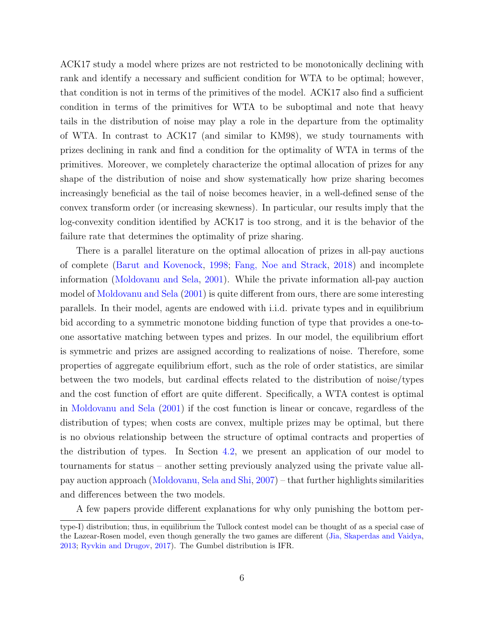ACK17 study a model where prizes are not restricted to be monotonically declining with rank and identify a necessary and sufficient condition for WTA to be optimal; however, that condition is not in terms of the primitives of the model. ACK17 also find a sufficient condition in terms of the primitives for WTA to be suboptimal and note that heavy tails in the distribution of noise may play a role in the departure from the optimality of WTA. In contrast to ACK17 (and similar to KM98), we study tournaments with prizes declining in rank and find a condition for the optimality of WTA in terms of the primitives. Moreover, we completely characterize the optimal allocation of prizes for any shape of the distribution of noise and show systematically how prize sharing becomes increasingly beneficial as the tail of noise becomes heavier, in a well-defined sense of the convex transform order (or increasing skewness). In particular, our results imply that the log-convexity condition identified by ACK17 is too strong, and it is the behavior of the failure rate that determines the optimality of prize sharing.

There is a parallel literature on the optimal allocation of prizes in all-pay auctions of complete [\(Barut and Kovenock,](#page-26-7) [1998;](#page-26-7) [Fang, Noe and Strack,](#page-27-4) [2018\)](#page-27-4) and incomplete information [\(Moldovanu and Sela,](#page-29-5) [2001\)](#page-29-5). While the private information all-pay auction model of [Moldovanu and Sela](#page-29-5) [\(2001\)](#page-29-5) is quite different from ours, there are some interesting parallels. In their model, agents are endowed with i.i.d. private types and in equilibrium bid according to a symmetric monotone bidding function of type that provides a one-toone assortative matching between types and prizes. In our model, the equilibrium effort is symmetric and prizes are assigned according to realizations of noise. Therefore, some properties of aggregate equilibrium effort, such as the role of order statistics, are similar between the two models, but cardinal effects related to the distribution of noise/types and the cost function of effort are quite different. Specifically, a WTA contest is optimal in [Moldovanu and Sela](#page-29-5) [\(2001\)](#page-29-5) if the cost function is linear or concave, regardless of the distribution of types; when costs are convex, multiple prizes may be optimal, but there is no obvious relationship between the structure of optimal contracts and properties of the distribution of types. In Section [4.2,](#page-19-0) we present an application of our model to tournaments for status – another setting previously analyzed using the private value allpay auction approach [\(Moldovanu, Sela and Shi,](#page-29-3) [2007\)](#page-29-3) – that further highlights similarities and differences between the two models.

A few papers provide different explanations for why only punishing the bottom per-

type-I) distribution; thus, in equilibrium the Tullock contest model can be thought of as a special case of the Lazear-Rosen model, even though generally the two games are different [\(Jia, Skaperdas and Vaidya,](#page-28-6) [2013;](#page-28-6) [Ryvkin and Drugov,](#page-30-7) [2017\)](#page-30-7). The Gumbel distribution is IFR.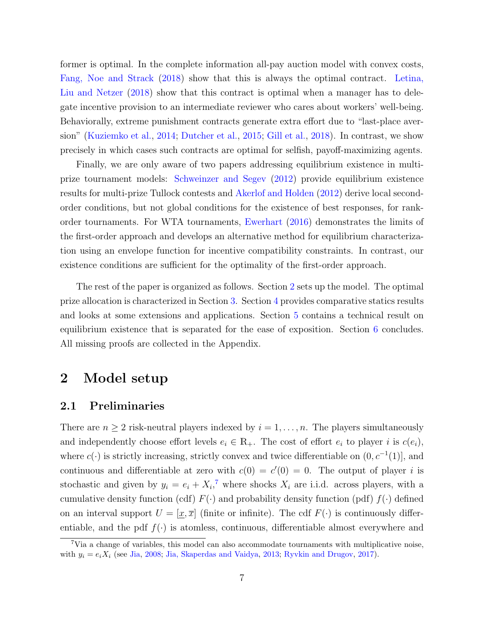former is optimal. In the complete information all-pay auction model with convex costs, [Fang, Noe and Strack](#page-27-4) [\(2018\)](#page-27-4) show that this is always the optimal contract. [Letina,](#page-29-8) [Liu and Netzer](#page-29-8) [\(2018\)](#page-29-8) show that this contract is optimal when a manager has to delegate incentive provision to an intermediate reviewer who cares about workers' well-being. Behaviorally, extreme punishment contracts generate extra effort due to "last-place aversion" [\(Kuziemko et al.,](#page-28-7) [2014;](#page-28-7) [Dutcher et al.,](#page-27-5) [2015;](#page-27-5) [Gill et al.,](#page-27-6) [2018\)](#page-27-6). In contrast, we show precisely in which cases such contracts are optimal for selfish, payoff-maximizing agents.

Finally, we are only aware of two papers addressing equilibrium existence in multiprize tournament models: [Schweinzer and Segev](#page-30-9) [\(2012\)](#page-30-9) provide equilibrium existence results for multi-prize Tullock contests and [Akerlof and Holden](#page-25-2) [\(2012\)](#page-25-2) derive local secondorder conditions, but not global conditions for the existence of best responses, for rankorder tournaments. For WTA tournaments, [Ewerhart](#page-27-7) [\(2016\)](#page-27-7) demonstrates the limits of the first-order approach and develops an alternative method for equilibrium characterization using an envelope function for incentive compatibility constraints. In contrast, our existence conditions are sufficient for the optimality of the first-order approach.

The rest of the paper is organized as follows. Section [2](#page-6-0) sets up the model. The optimal prize allocation is characterized in Section [3.](#page-8-0) Section [4](#page-17-0) provides comparative statics results and looks at some extensions and applications. Section [5](#page-21-0) contains a technical result on equilibrium existence that is separated for the ease of exposition. Section [6](#page-23-0) concludes. All missing proofs are collected in the Appendix.

## <span id="page-6-0"></span>2 Model setup

## 2.1 Preliminaries

There are  $n \geq 2$  risk-neutral players indexed by  $i = 1, \ldots, n$ . The players simultaneously and independently choose effort levels  $e_i \in \mathbb{R}_+$ . The cost of effort  $e_i$  to player i is  $c(e_i)$ , where  $c(\cdot)$  is strictly increasing, strictly convex and twice differentiable on  $(0, c^{-1}(1)]$ , and continuous and differentiable at zero with  $c(0) = c'(0) = 0$ . The output of player i is stochastic and given by  $y_i = e_i + X_i$ ,<sup>[7](#page-6-1)</sup> where shocks  $X_i$  are i.i.d. across players, with a cumulative density function (cdf)  $F(\cdot)$  and probability density function (pdf)  $f(\cdot)$  defined on an interval support  $U = [\underline{x}, \overline{x}]$  (finite or infinite). The cdf  $F(\cdot)$  is continuously differentiable, and the pdf  $f(\cdot)$  is atomless, continuous, differentiable almost everywhere and

<span id="page-6-1"></span><sup>7</sup>Via a change of variables, this model can also accommodate tournaments with multiplicative noise, with  $y_i = e_i X_i$  (see [Jia,](#page-28-8) [2008;](#page-28-8) [Jia, Skaperdas and Vaidya,](#page-28-6) [2013;](#page-28-6) [Ryvkin and Drugov,](#page-30-7) [2017\)](#page-30-7).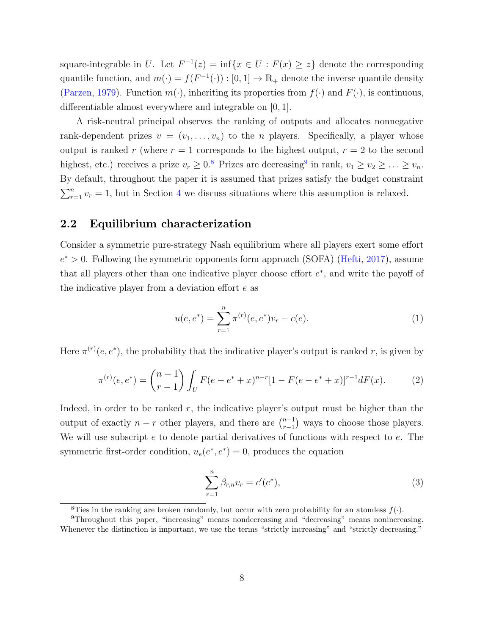square-integrable in U. Let  $F^{-1}(z) = \inf\{x \in U : F(x) \geq z\}$  denote the corresponding quantile function, and  $m(\cdot) = f(F^{-1}(\cdot)) : [0,1] \to \mathbb{R}_+$  denote the inverse quantile density [\(Parzen,](#page-30-10) [1979\)](#page-30-10). Function  $m(\cdot)$ , inheriting its properties from  $f(\cdot)$  and  $F(\cdot)$ , is continuous, differentiable almost everywhere and integrable on [0, 1].

A risk-neutral principal observes the ranking of outputs and allocates nonnegative rank-dependent prizes  $v = (v_1, \ldots, v_n)$  to the *n* players. Specifically, a player whose output is ranked r (where  $r = 1$  corresponds to the highest output,  $r = 2$  to the second highest, etc.) receives a prize  $v_r \geq 0.8$  $v_r \geq 0.8$  Prizes are decreasing<sup>[9](#page-7-1)</sup> in rank,  $v_1 \geq v_2 \geq \ldots \geq v_n$ . By default, throughout the paper it is assumed that prizes satisfy the budget constraint  $\sum_{r=1}^{n} v_r = 1$ , but in Section [4](#page-17-0) we discuss situations where this assumption is relaxed.

## 2.2 Equilibrium characterization

Consider a symmetric pure-strategy Nash equilibrium where all players exert some effort  $e^* > 0$ . Following the symmetric opponents form approach (SOFA) [\(Hefti,](#page-28-9) [2017\)](#page-28-9), assume that all players other than one indicative player choose effort  $e^*$ , and write the payoff of the indicative player from a deviation effort e as

<span id="page-7-3"></span>
$$
u(e, e^*) = \sum_{r=1}^{n} \pi^{(r)}(e, e^*) v_r - c(e).
$$
 (1)

Here  $\pi^{(r)}(e, e^*)$ , the probability that the indicative player's output is ranked r, is given by

<span id="page-7-4"></span>
$$
\pi^{(r)}(e, e^*) = {n-1 \choose r-1} \int_U F(e - e^* + x)^{n-r} [1 - F(e - e^* + x)]^{r-1} dF(x).
$$
 (2)

Indeed, in order to be ranked  $r$ , the indicative player's output must be higher than the output of exactly  $n - r$  other players, and there are  $\binom{n-1}{r-1}$  $\binom{n-1}{r-1}$  ways to choose those players. We will use subscript e to denote partial derivatives of functions with respect to e. The symmetric first-order condition,  $u_e(e^*, e^*) = 0$ , produces the equation

<span id="page-7-2"></span>
$$
\sum_{r=1}^{n} \beta_{r,n} v_r = c'(e^*),
$$
\n(3)

<span id="page-7-1"></span><span id="page-7-0"></span><sup>&</sup>lt;sup>8</sup>Ties in the ranking are broken randomly, but occur with zero probability for an atomless  $f(.)$ .

<sup>9</sup>Throughout this paper, "increasing" means nondecreasing and "decreasing" means nonincreasing. Whenever the distinction is important, we use the terms "strictly increasing" and "strictly decreasing."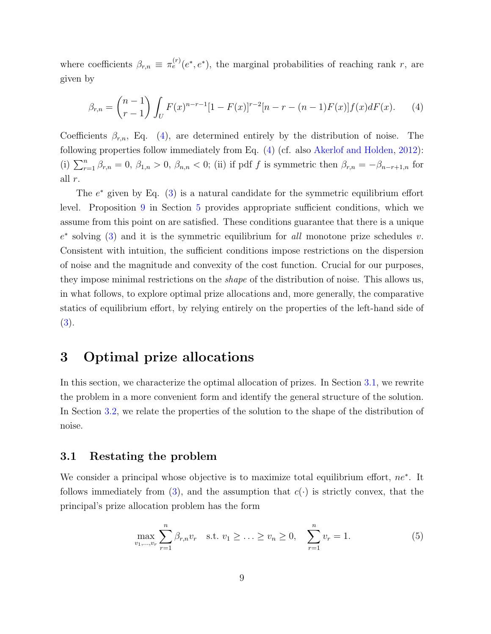where coefficients  $\beta_{r,n} \equiv \pi_e^{(r)}(e^*, e^*)$ , the marginal probabilities of reaching rank r, are given by

<span id="page-8-1"></span>
$$
\beta_{r,n} = \binom{n-1}{r-1} \int_U F(x)^{n-r-1} [1 - F(x)]^{r-2} [n - r - (n-1)F(x)] f(x) dF(x). \tag{4}
$$

Coefficients  $\beta_{r,n}$ , Eq. [\(4\)](#page-8-1), are determined entirely by the distribution of noise. The following properties follow immediately from Eq. [\(4\)](#page-8-1) (cf. also [Akerlof and Holden,](#page-25-2) [2012\)](#page-25-2): (i)  $\sum_{r=1}^{n} \beta_{r,n} = 0$ ,  $\beta_{1,n} > 0$ ,  $\beta_{n,n} < 0$ ; (ii) if pdf f is symmetric then  $\beta_{r,n} = -\beta_{n-r+1,n}$  for all r.

The  $e^*$  given by Eq. [\(3\)](#page-7-2) is a natural candidate for the symmetric equilibrium effort level. Proposition [9](#page-21-1) in Section [5](#page-21-0) provides appropriate sufficient conditions, which we assume from this point on are satisfied. These conditions guarantee that there is a unique  $e^*$  solving [\(3\)](#page-7-2) and it is the symmetric equilibrium for all monotone prize schedules v. Consistent with intuition, the sufficient conditions impose restrictions on the dispersion of noise and the magnitude and convexity of the cost function. Crucial for our purposes, they impose minimal restrictions on the shape of the distribution of noise. This allows us, in what follows, to explore optimal prize allocations and, more generally, the comparative statics of equilibrium effort, by relying entirely on the properties of the left-hand side of [\(3\)](#page-7-2).

## <span id="page-8-0"></span>3 Optimal prize allocations

In this section, we characterize the optimal allocation of prizes. In Section [3.1,](#page-8-2) we rewrite the problem in a more convenient form and identify the general structure of the solution. In Section [3.2,](#page-11-0) we relate the properties of the solution to the shape of the distribution of noise.

### <span id="page-8-2"></span>3.1 Restating the problem

We consider a principal whose objective is to maximize total equilibrium effort, ne<sup>∗</sup>. It follows immediately from [\(3\)](#page-7-2), and the assumption that  $c(\cdot)$  is strictly convex, that the principal's prize allocation problem has the form

<span id="page-8-3"></span>
$$
\max_{v_1, \dots, v_r} \sum_{r=1}^n \beta_{r,n} v_r \quad \text{s.t. } v_1 \ge \dots \ge v_n \ge 0, \quad \sum_{r=1}^n v_r = 1. \tag{5}
$$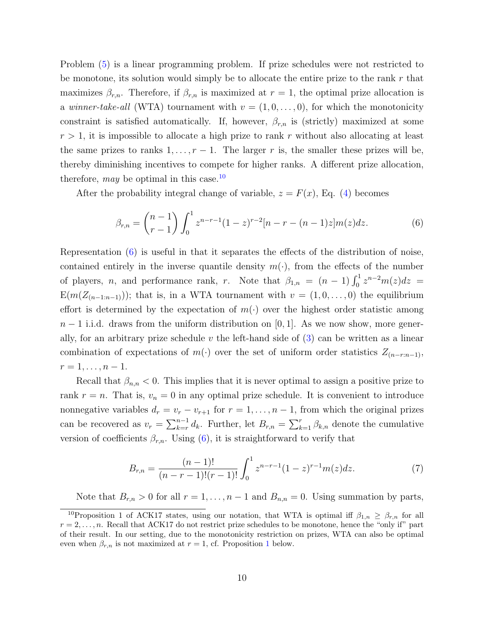Problem [\(5\)](#page-8-3) is a linear programming problem. If prize schedules were not restricted to be monotone, its solution would simply be to allocate the entire prize to the rank  $r$  that maximizes  $\beta_{r,n}$ . Therefore, if  $\beta_{r,n}$  is maximized at  $r=1$ , the optimal prize allocation is a *winner-take-all* (WTA) tournament with  $v = (1, 0, \ldots, 0)$ , for which the monotonicity constraint is satisfied automatically. If, however,  $\beta_{r,n}$  is (strictly) maximized at some  $r > 1$ , it is impossible to allocate a high prize to rank r without also allocating at least the same prizes to ranks  $1, \ldots, r-1$ . The larger r is, the smaller these prizes will be, thereby diminishing incentives to compete for higher ranks. A different prize allocation, therefore, may be optimal in this case.<sup>[10](#page-9-0)</sup>

After the probability integral change of variable,  $z = F(x)$ , Eq. [\(4\)](#page-8-1) becomes

<span id="page-9-1"></span>
$$
\beta_{r,n} = \binom{n-1}{r-1} \int_0^1 z^{n-r-1} (1-z)^{r-2} [n-r-(n-1)z] m(z) dz.
$$
 (6)

Representation [\(6\)](#page-9-1) is useful in that it separates the effects of the distribution of noise, contained entirely in the inverse quantile density  $m(\cdot)$ , from the effects of the number of players, *n*, and performance rank, *r*. Note that  $\beta_{1,n} = (n-1) \int_0^1 z^{n-2} m(z) dz =$  $E(m(Z_{(n-1:n-1)}))$ ; that is, in a WTA tournament with  $v = (1, 0, \ldots, 0)$  the equilibrium effort is determined by the expectation of  $m(\cdot)$  over the highest order statistic among  $n-1$  i.i.d. draws from the uniform distribution on [0, 1]. As we now show, more generally, for an arbitrary prize schedule v the left-hand side of  $(3)$  can be written as a linear combination of expectations of  $m(\cdot)$  over the set of uniform order statistics  $Z_{(n-r:n-1)}$ ,  $r = 1, \ldots, n - 1.$ 

Recall that  $\beta_{n,n} < 0$ . This implies that it is never optimal to assign a positive prize to rank  $r = n$ . That is,  $v_n = 0$  in any optimal prize schedule. It is convenient to introduce nonnegative variables  $d_r = v_r - v_{r+1}$  for  $r = 1, \ldots, n-1$ , from which the original prizes can be recovered as  $v_r = \sum_{k=r}^{n-1} d_k$ . Further, let  $B_{r,n} = \sum_{k=1}^{r} \beta_{k,n}$  denote the cumulative version of coefficients  $\beta_{r,n}$ . Using [\(6\)](#page-9-1), it is straightforward to verify that

<span id="page-9-2"></span>
$$
B_{r,n} = \frac{(n-1)!}{(n-r-1)!(r-1)!} \int_0^1 z^{n-r-1} (1-z)^{r-1} m(z) dz.
$$
 (7)

Note that  $B_{r,n} > 0$  for all  $r = 1, \ldots, n-1$  and  $B_{n,n} = 0$ . Using summation by parts,

<span id="page-9-0"></span><sup>&</sup>lt;sup>10</sup>Proposition 1 of ACK17 states, using our notation, that WTA is optimal iff  $\beta_{1,n} \geq \beta_{r,n}$  for all  $r = 2, \ldots, n$ . Recall that ACK17 do not restrict prize schedules to be monotone, hence the "only if" part of their result. In our setting, due to the monotonicity restriction on prizes, WTA can also be optimal even when  $\beta_{r,n}$  is not maximized at  $r=1$  $r=1$ , cf. Proposition 1 below.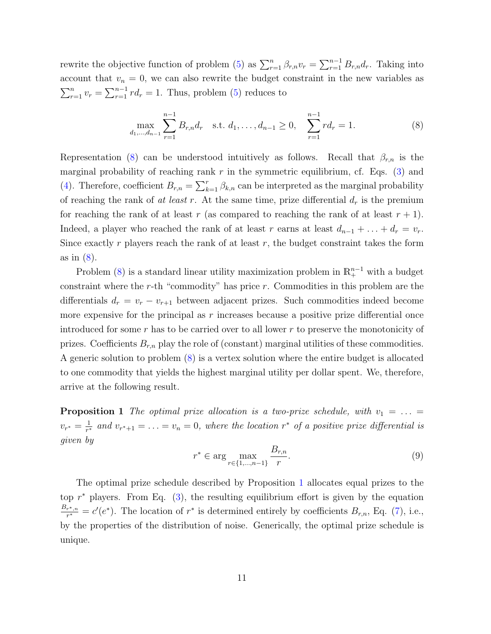rewrite the objective function of problem [\(5\)](#page-8-3) as  $\sum_{r=1}^{n} \beta_{r,n} v_r = \sum_{r=1}^{n-1} B_{r,n} d_r$ . Taking into account that  $v_n = 0$ , we can also rewrite the budget constraint in the new variables as  $\sum_{r=1}^{n} v_r = \sum_{r=1}^{n-1} r d_r = 1$ . Thus, problem [\(5\)](#page-8-3) reduces to

<span id="page-10-1"></span>
$$
\max_{d_1,\dots,d_{n-1}} \sum_{r=1}^{n-1} B_{r,n} d_r \quad \text{s.t. } d_1,\dots,d_{n-1} \ge 0, \quad \sum_{r=1}^{n-1} r d_r = 1. \tag{8}
$$

Representation [\(8\)](#page-10-1) can be understood intuitively as follows. Recall that  $\beta_{r,n}$  is the marginal probability of reaching rank r in the symmetric equilibrium, cf. Eqs.  $(3)$  and [\(4\)](#page-8-1). Therefore, coefficient  $B_{r,n} = \sum_{k=1}^r \beta_{k,n}$  can be interpreted as the marginal probability of reaching the rank of at least r. At the same time, prize differential  $d_r$  is the premium for reaching the rank of at least r (as compared to reaching the rank of at least  $r + 1$ ). Indeed, a player who reached the rank of at least r earns at least  $d_{n-1} + \ldots + d_r = v_r$ . Since exactly  $r$  players reach the rank of at least  $r$ , the budget constraint takes the form as in [\(8\)](#page-10-1).

Problem [\(8\)](#page-10-1) is a standard linear utility maximization problem in  $\mathbb{R}^{n-1}_+$  with a budget constraint where the r-th "commodity" has price  $r$ . Commodities in this problem are the differentials  $d_r = v_r - v_{r+1}$  between adjacent prizes. Such commodities indeed become more expensive for the principal as  $r$  increases because a positive prize differential once introduced for some  $r$  has to be carried over to all lower  $r$  to preserve the monotonicity of prizes. Coefficients  $B_{r,n}$  play the role of (constant) marginal utilities of these commodities. A generic solution to problem [\(8\)](#page-10-1) is a vertex solution where the entire budget is allocated to one commodity that yields the highest marginal utility per dollar spent. We, therefore, arrive at the following result.

<span id="page-10-0"></span>**Proposition 1** The optimal prize allocation is a two-prize schedule, with  $v_1 = \ldots =$  $v_{r^*} = \frac{1}{r^*}$  $\frac{1}{r^*}$  and  $v_{r^*+1} = \ldots = v_n = 0$ , where the location  $r^*$  of a positive prize differential is given by

<span id="page-10-2"></span>
$$
r^* \in \arg\max_{r \in \{1, \dots, n-1\}} \frac{B_{r,n}}{r}.\tag{9}
$$

The optimal prize schedule described by Proposition [1](#page-10-0) allocates equal prizes to the top  $r^*$  players. From Eq. [\(3\)](#page-7-2), the resulting equilibrium effort is given by the equation  $B_{r^*,n}$  $\frac{r^*, n}{r^*} = c'(e^*).$  The location of  $r^*$  is determined entirely by coefficients  $B_{r,n}$ , Eq. [\(7\)](#page-9-2), i.e., by the properties of the distribution of noise. Generically, the optimal prize schedule is unique.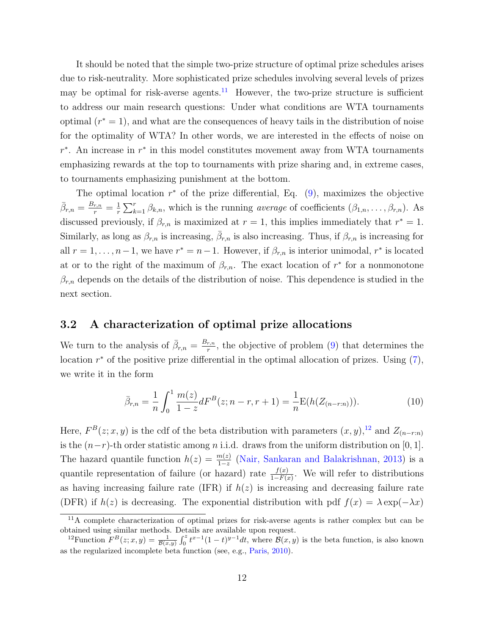It should be noted that the simple two-prize structure of optimal prize schedules arises due to risk-neutrality. More sophisticated prize schedules involving several levels of prizes may be optimal for risk-averse agents.<sup>[11](#page-11-1)</sup> However, the two-prize structure is sufficient to address our main research questions: Under what conditions are WTA tournaments optimal  $(r^* = 1)$ , and what are the consequences of heavy tails in the distribution of noise for the optimality of WTA? In other words, we are interested in the effects of noise on  $r^*$ . An increase in  $r^*$  in this model constitutes movement away from WTA tournaments emphasizing rewards at the top to tournaments with prize sharing and, in extreme cases, to tournaments emphasizing punishment at the bottom.

The optimal location  $r^*$  of the prize differential, Eq.  $(9)$ , maximizes the objective  $\bar{\beta}_{r,n} = \frac{B_{r,n}}{r} = \frac{1}{r}$  $\frac{1}{r}\sum_{k=1}^r \beta_{k,n}$ , which is the running *average* of coefficients  $(\beta_{1,n}, \ldots, \beta_{r,n})$ . As discussed previously, if  $\beta_{r,n}$  is maximized at  $r=1$ , this implies immediately that  $r^*=1$ . Similarly, as long as  $\beta_{r,n}$  is increasing,  $\bar{\beta}_{r,n}$  is also increasing. Thus, if  $\beta_{r,n}$  is increasing for all  $r = 1, \ldots, n-1$ , we have  $r^* = n-1$ . However, if  $\beta_{r,n}$  is interior unimodal,  $r^*$  is located at or to the right of the maximum of  $\beta_{r,n}$ . The exact location of  $r^*$  for a nonmonotone  $\beta_{r,n}$  depends on the details of the distribution of noise. This dependence is studied in the next section.

## <span id="page-11-0"></span>3.2 A characterization of optimal prize allocations

We turn to the analysis of  $\bar{\beta}_{r,n} = \frac{B_{r,n}}{r}$  $\frac{r, n}{r}$ , the objective of problem [\(9\)](#page-10-2) that determines the location  $r^*$  of the positive prize differential in the optimal allocation of prizes. Using  $(7)$ , we write it in the form

<span id="page-11-3"></span>
$$
\bar{\beta}_{r,n} = \frac{1}{n} \int_0^1 \frac{m(z)}{1-z} dF^B(z; n-r, r+1) = \frac{1}{n} \mathcal{E}(h(Z_{(n-r:n)})). \tag{10}
$$

Here,  $F^{B}(z;x,y)$  is the cdf of the beta distribution with parameters  $(x, y)$ ,<sup>[12](#page-11-2)</sup> and  $Z_{(n-r:n)}$ is the  $(n-r)$ -th order statistic among *n* i.i.d. draws from the uniform distribution on [0, 1]. The hazard quantile function  $h(z) = \frac{m(z)}{1-z}$  [\(Nair, Sankaran and Balakrishnan,](#page-29-9) [2013\)](#page-29-9) is a quantile representation of failure (or hazard) rate  $\frac{f(x)}{1-F(x)}$ . We will refer to distributions as having increasing failure rate (IFR) if  $h(z)$  is increasing and decreasing failure rate (DFR) if  $h(z)$  is decreasing. The exponential distribution with pdf  $f(x) = \lambda \exp(-\lambda x)$ 

<span id="page-11-1"></span> $11$ A complete characterization of optimal prizes for risk-averse agents is rather complex but can be obtained using similar methods. Details are available upon request.

<span id="page-11-2"></span><sup>&</sup>lt;sup>12</sup> Function  $F^{B}(z;x,y) = \frac{1}{\mathcal{B}(x,y)} \int_0^z t^{x-1} (1-t)^{y-1} dt$ , where  $\mathcal{B}(x,y)$  is the beta function, is also known as the regularized incomplete beta function (see, e.g., [Paris,](#page-30-11) [2010\)](#page-30-11).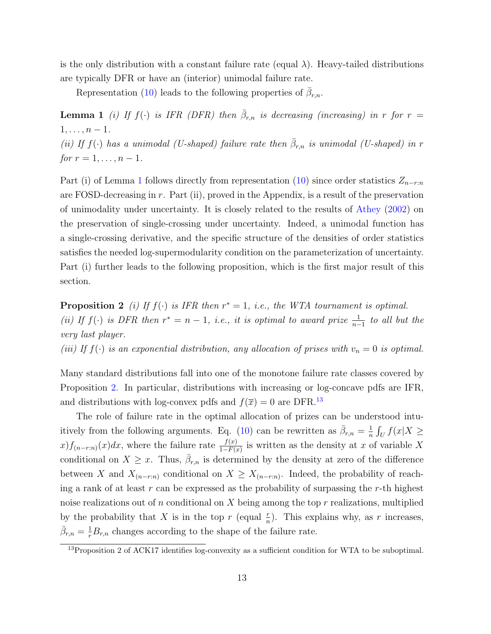is the only distribution with a constant failure rate (equal  $\lambda$ ). Heavy-tailed distributions are typically DFR or have an (interior) unimodal failure rate.

<span id="page-12-0"></span>Representation [\(10\)](#page-11-3) leads to the following properties of  $\bar{\beta}_{r,n}$ .

**Lemma 1** (i) If  $f(\cdot)$  is IFR (DFR) then  $\bar{\beta}_{r,n}$  is decreasing (increasing) in r for r =  $1, \ldots, n-1.$ (ii) If  $f(\cdot)$  has a unimodal (U-shaped) failure rate then  $\bar{\beta}_{r,n}$  is unimodal (U-shaped) in r

for  $r = 1, ..., n - 1$ .

Part (i) of Lemma [1](#page-12-0) follows directly from representation [\(10\)](#page-11-3) since order statistics  $Z_{n-r:n}$ are FOSD-decreasing in  $r$ . Part (ii), proved in the Appendix, is a result of the preservation of unimodality under uncertainty. It is closely related to the results of [Athey](#page-25-5) [\(2002\)](#page-25-5) on the preservation of single-crossing under uncertainty. Indeed, a unimodal function has a single-crossing derivative, and the specific structure of the densities of order statistics satisfies the needed log-supermodularity condition on the parameterization of uncertainty. Part (i) further leads to the following proposition, which is the first major result of this section.

<span id="page-12-1"></span>**Proposition 2** (i) If  $f(\cdot)$  is IFR then  $r^* = 1$ , i.e., the WTA tournament is optimal. (ii) If  $f(\cdot)$  is DFR then  $r^* = n - 1$ , i.e., it is optimal to award prize  $\frac{1}{n-1}$  to all but the very last player.

(iii) If  $f(\cdot)$  is an exponential distribution, any allocation of prises with  $v_n = 0$  is optimal.

Many standard distributions fall into one of the monotone failure rate classes covered by Proposition [2.](#page-12-1) In particular, distributions with increasing or log-concave pdfs are IFR, and distributions with log-convex pdfs and  $f(\overline{x}) = 0$  are DFR.<sup>[13](#page-12-2)</sup>

The role of failure rate in the optimal allocation of prizes can be understood intu-itively from the following arguments. Eq. [\(10\)](#page-11-3) can be rewritten as  $\bar{\beta}_{r,n} = \frac{1}{n}$  $\frac{1}{n}\int_U f(x|X) \geq$  $x) f_{(n-r:n)}(x) dx$ , where the failure rate  $\frac{f(x)}{1-F(x)}$  is written as the density at x of variable X conditional on  $X \geq x$ . Thus,  $\bar{\beta}_{r,n}$  is determined by the density at zero of the difference between X and  $X_{(n-r:n)}$  conditional on  $X \geq X_{(n-r:n)}$ . Indeed, the probability of reaching a rank of at least  $r$  can be expressed as the probability of surpassing the  $r$ -th highest noise realizations out of n conditional on X being among the top r realizations, multiplied by the probability that X is in the top r (equal  $\frac{r}{n}$ ). This explains why, as r increases,  $\bar{\beta}_{r,n} = \frac{1}{r} B_{r,n}$  changes according to the shape of the failure rate.

<span id="page-12-2"></span><sup>&</sup>lt;sup>13</sup>Proposition 2 of ACK17 identifies log-convexity as a sufficient condition for WTA to be suboptimal.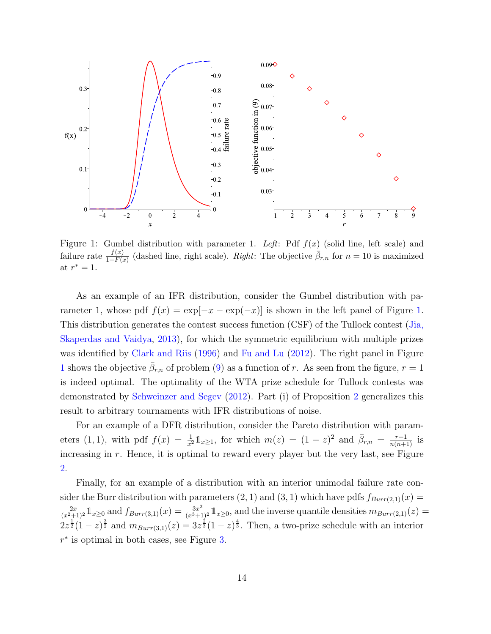<span id="page-13-0"></span>

Figure 1: Gumbel distribution with parameter 1. Left: Pdf  $f(x)$  (solid line, left scale) and failure rate  $\frac{f(x)}{1-F(x)}$  (dashed line, right scale). Right: The objective  $\bar{\beta}_{r,n}$  for  $n=10$  is maximized at  $r^* = 1$ .

As an example of an IFR distribution, consider the Gumbel distribution with parameter 1, whose pdf  $f(x) = \exp[-x - \exp(-x)]$  is shown in the left panel of Figure [1.](#page-13-0) This distribution generates the contest success function (CSF) of the Tullock contest [\(Jia,](#page-28-6) [Skaperdas and Vaidya,](#page-28-6) [2013\)](#page-28-6), for which the symmetric equilibrium with multiple prizes was identified by [Clark and Riis](#page-26-8) [\(1996\)](#page-26-8) and [Fu and Lu](#page-27-8) [\(2012\)](#page-27-8). The right panel in Figure [1](#page-13-0) shows the objective  $\bar{\beta}_{r,n}$  of problem [\(9\)](#page-10-2) as a function of r. As seen from the figure,  $r=1$ is indeed optimal. The optimality of the WTA prize schedule for Tullock contests was demonstrated by [Schweinzer and Segev](#page-30-9) [\(2012\)](#page-30-9). Part (i) of Proposition [2](#page-12-1) generalizes this result to arbitrary tournaments with IFR distributions of noise.

For an example of a DFR distribution, consider the Pareto distribution with parameters (1, 1), with pdf  $f(x) = \frac{1}{x^2} \mathbb{1}_{x \geq 1}$ , for which  $m(z) = (1-z)^2$  and  $\bar{\beta}_{r,n} = \frac{r+1}{n(n+1)}$  is increasing in r. Hence, it is optimal to reward every player but the very last, see Figure [2.](#page-14-0)

Finally, for an example of a distribution with an interior unimodal failure rate consider the Burr distribution with parameters  $(2, 1)$  and  $(3, 1)$  which have pdfs  $f_{Burr(2,1)}(x) =$  $\frac{2x}{(x^2+1)^2} \mathbb{1}_{x\geq 0}$  and  $f_{Burr(3,1)}(x) = \frac{3x^2}{(x^3+1)^2} \mathbb{1}_{x\geq 0}$ , and the inverse quantile densities  $m_{Burr(2,1)}(z) =$  $2z^{\frac{1}{2}}(1-z)^{\frac{3}{2}}$  and  $m_{Burr(3,1)}(z) = 3z^{\frac{2}{3}}(1-z)^{\frac{4}{3}}$ . Then, a two-prize schedule with an interior  $r^*$  is optimal in both cases, see Figure [3.](#page-14-1)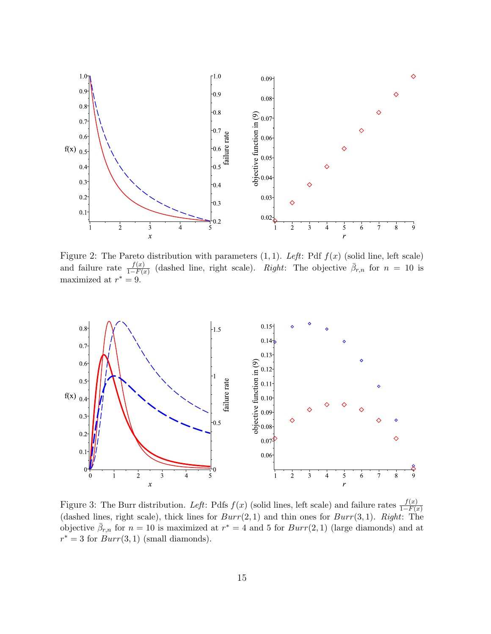<span id="page-14-0"></span>

Figure 2: The Pareto distribution with parameters  $(1, 1)$ . Left: Pdf  $f(x)$  (solid line, left scale) and failure rate  $\frac{f(x)}{1-F(x)}$  (dashed line, right scale). Right: The objective  $\bar{\beta}_{r,n}$  for  $n = 10$  is maximized at  $r^* = 9$ .

<span id="page-14-1"></span>

Figure 3: The Burr distribution. Left: Pdfs  $f(x)$  (solid lines, left scale) and failure rates  $\frac{f(x)}{1-F(x)}$ (dashed lines, right scale), thick lines for  $Burr(2, 1)$  and thin ones for  $Burr(3, 1)$ . Right: The objective  $\bar{\beta}_{r,n}$  for  $n=10$  is maximized at  $r^*=4$  and 5 for  $Burr(2,1)$  (large diamonds) and at  $r^* = 3$  for  $Burr(3, 1)$  (small diamonds).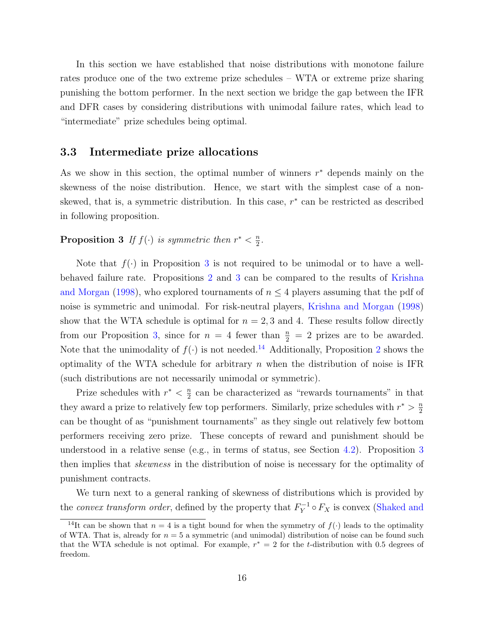In this section we have established that noise distributions with monotone failure rates produce one of the two extreme prize schedules – WTA or extreme prize sharing punishing the bottom performer. In the next section we bridge the gap between the IFR and DFR cases by considering distributions with unimodal failure rates, which lead to "intermediate" prize schedules being optimal.

### 3.3 Intermediate prize allocations

As we show in this section, the optimal number of winners  $r^*$  depends mainly on the skewness of the noise distribution. Hence, we start with the simplest case of a nonskewed, that is, a symmetric distribution. In this case,  $r^*$  can be restricted as described in following proposition.

#### <span id="page-15-0"></span>**Proposition 3** If  $f(\cdot)$  is symmetric then  $r^* < \frac{n}{2}$  $\frac{n}{2}$ .

Note that  $f(\cdot)$  in Proposition [3](#page-15-0) is not required to be unimodal or to have a wellbehaved failure rate. Propositions [2](#page-12-1) and [3](#page-15-0) can be compared to the results of [Krishna](#page-28-5) [and Morgan](#page-28-5) [\(1998\)](#page-28-5), who explored tournaments of  $n \leq 4$  players assuming that the pdf of noise is symmetric and unimodal. For risk-neutral players, [Krishna and Morgan](#page-28-5) [\(1998\)](#page-28-5) show that the WTA schedule is optimal for  $n = 2, 3$  and 4. These results follow directly from our Proposition [3,](#page-15-0) since for  $n = 4$  fewer than  $\frac{n}{2} = 2$  prizes are to be awarded. Note that the unimodality of  $f(\cdot)$  is not needed.<sup>[14](#page-15-1)</sup> Additionally, Proposition [2](#page-12-1) shows the optimality of the WTA schedule for arbitrary  $n$  when the distribution of noise is IFR (such distributions are not necessarily unimodal or symmetric).

Prize schedules with  $r^* < \frac{n}{2}$  $\frac{n}{2}$  can be characterized as "rewards tournaments" in that they award a prize to relatively few top performers. Similarly, prize schedules with  $r^* > \frac{n}{2}$ 2 can be thought of as "punishment tournaments" as they single out relatively few bottom performers receiving zero prize. These concepts of reward and punishment should be understood in a relative sense (e.g., in terms of status, see Section [4.2\)](#page-19-0). Proposition [3](#page-15-0) then implies that skewness in the distribution of noise is necessary for the optimality of punishment contracts.

We turn next to a general ranking of skewness of distributions which is provided by the *convex transform order*, defined by the property that  $F_Y^{-1}$  $Y^{-1} \circ F_X$  is convex [\(Shaked and](#page-30-4)

<span id="page-15-1"></span><sup>&</sup>lt;sup>14</sup>It can be shown that  $n = 4$  is a tight bound for when the symmetry of  $f(.)$  leads to the optimality of WTA. That is, already for  $n = 5$  a symmetric (and unimodal) distribution of noise can be found such [that the WTA schedule is not optimal. For example,](#page-30-4)  $r^* = 2$  for the t-distribution with 0.5 degrees of [freedom.](#page-30-4)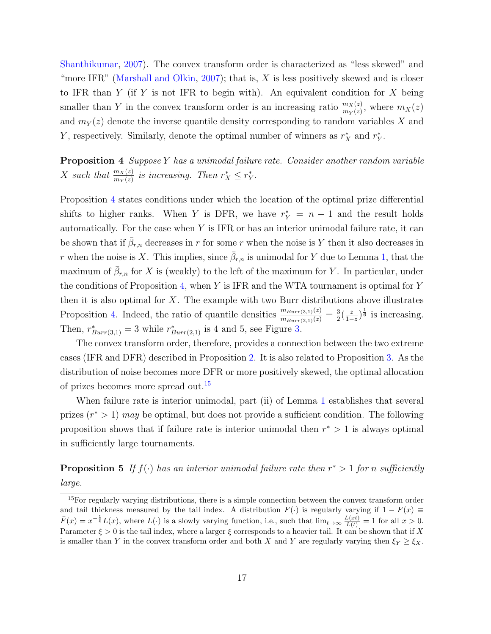[Shanthikumar,](#page-30-4) [2007\)](#page-30-4). The convex transform order is characterized as "less skewed" and "more IFR" [\(Marshall and Olkin,](#page-29-10) [2007\)](#page-29-10); that is,  $X$  is less positively skewed and is closer to IFR than  $Y$  (if  $Y$  is not IFR to begin with). An equivalent condition for  $X$  being smaller than Y in the convex transform order is an increasing ratio  $\frac{m_X(z)}{m_Y(z)}$ , where  $m_X(z)$ and  $m_Y(z)$  denote the inverse quantile density corresponding to random variables X and Y, respectively. Similarly, denote the optimal number of winners as  $r_X^*$  and  $r_Y^*$ .

<span id="page-16-0"></span>**Proposition 4** Suppose Y has a unimodal failure rate. Consider another random variable X such that  $\frac{m_X(z)}{m_Y(z)}$  is increasing. Then  $r_X^* \leq r_Y^*$ .

Proposition [4](#page-16-0) states conditions under which the location of the optimal prize differential shifts to higher ranks. When Y is DFR, we have  $r_Y^* = n - 1$  and the result holds automatically. For the case when  $Y$  is IFR or has an interior unimodal failure rate, it can be shown that if  $\bar{\beta}_{r,n}$  decreases in r for some r when the noise is Y then it also decreases in r when the noise is X. This implies, since  $\bar{\beta}_{r,n}$  is unimodal for Y due to Lemma [1,](#page-12-0) that the maximum of  $\bar{\beta}_{r,n}$  for X is (weakly) to the left of the maximum for Y. In particular, under the conditions of Proposition [4,](#page-16-0) when  $Y$  is IFR and the WTA tournament is optimal for  $Y$ then it is also optimal for  $X$ . The example with two Burr distributions above illustrates Proposition [4.](#page-16-0) Indeed, the ratio of quantile densities  $\frac{m_{Burr(3,1)}(z)}{m_{Burr(2,1)}(z)} = \frac{3}{2}$  $\frac{3}{2}(\frac{z}{1-z})$  $\frac{z}{1-z}$ ,  $\frac{1}{6}$  is increasing. Then,  $r^*_{Burr(3,1)} = 3$  while  $r^*_{Burr(2,1)}$  is 4 and 5, see Figure [3.](#page-14-1)

The convex transform order, therefore, provides a connection between the two extreme cases (IFR and DFR) described in Proposition [2.](#page-12-1) It is also related to Proposition [3.](#page-15-0) As the distribution of noise becomes more DFR or more positively skewed, the optimal allocation of prizes becomes more spread out.<sup>[15](#page-16-1)</sup>

When failure rate is interior unimodal, part (ii) of Lemma [1](#page-12-0) establishes that several prizes  $(r^* > 1)$  may be optimal, but does not provide a sufficient condition. The following proposition shows that if failure rate is interior unimodal then  $r^* > 1$  is always optimal in sufficiently large tournaments.

## <span id="page-16-2"></span>**Proposition 5** If  $f(\cdot)$  has an interior unimodal failure rate then  $r^* > 1$  for n sufficiently large.

<span id="page-16-1"></span><sup>&</sup>lt;sup>15</sup>For regularly varying distributions, there is a simple connection between the convex transform order and tail thickness measured by the tail index. A distribution  $F(\cdot)$  is regularly varying if  $1 - F(x) \equiv$  $\bar{F}(x) = x^{-\frac{1}{\xi}}L(x)$ , where  $L(\cdot)$  is a slowly varying function, i.e., such that  $\lim_{t\to\infty}\frac{L(xt)}{L(t)} = 1$  for all  $x > 0$ . Parameter  $\xi > 0$  is the tail index, where a larger  $\xi$  corresponds to a heavier tail. It can be shown that if X is smaller than Y in the convex transform order and both X and Y are regularly varying then  $\xi_Y \ge \xi_X$ .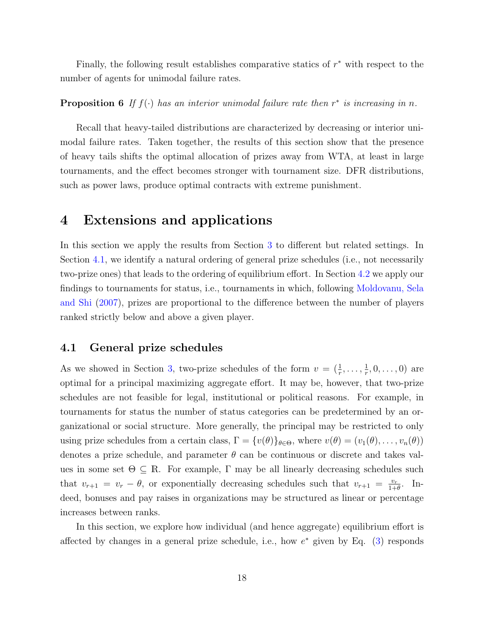Finally, the following result establishes comparative statics of  $r^*$  with respect to the number of agents for unimodal failure rates.

<span id="page-17-2"></span>**Proposition 6** If  $f(\cdot)$  has an interior unimodal failure rate then  $r^*$  is increasing in n.

Recall that heavy-tailed distributions are characterized by decreasing or interior unimodal failure rates. Taken together, the results of this section show that the presence of heavy tails shifts the optimal allocation of prizes away from WTA, at least in large tournaments, and the effect becomes stronger with tournament size. DFR distributions, such as power laws, produce optimal contracts with extreme punishment.

## <span id="page-17-0"></span>4 Extensions and applications

In this section we apply the results from Section [3](#page-8-0) to different but related settings. In Section [4.1,](#page-17-1) we identify a natural ordering of general prize schedules (i.e., not necessarily two-prize ones) that leads to the ordering of equilibrium effort. In Section [4.2](#page-19-0) we apply our findings to tournaments for status, i.e., tournaments in which, following [Moldovanu, Sela](#page-29-3) [and Shi](#page-29-3) [\(2007\)](#page-29-3), prizes are proportional to the difference between the number of players ranked strictly below and above a given player.

## <span id="page-17-1"></span>4.1 General prize schedules

As we showed in Section [3,](#page-8-0) two-prize schedules of the form  $v = (\frac{1}{r}, \ldots, \frac{1}{r})$  $\frac{1}{r}, 0, \ldots, 0)$  are optimal for a principal maximizing aggregate effort. It may be, however, that two-prize schedules are not feasible for legal, institutional or political reasons. For example, in tournaments for status the number of status categories can be predetermined by an organizational or social structure. More generally, the principal may be restricted to only using prize schedules from a certain class,  $\Gamma = \{v(\theta)\}_{\theta \in \Theta}$ , where  $v(\theta) = (v_1(\theta), \dots, v_n(\theta))$ denotes a prize schedule, and parameter  $\theta$  can be continuous or discrete and takes values in some set  $\Theta \subseteq \mathbb{R}$ . For example,  $\Gamma$  may be all linearly decreasing schedules such that  $v_{r+1} = v_r - \theta$ , or exponentially decreasing schedules such that  $v_{r+1} = \frac{v_r}{1+1}$  $\frac{v_r}{1+\theta}$ . Indeed, bonuses and pay raises in organizations may be structured as linear or percentage increases between ranks.

In this section, we explore how individual (and hence aggregate) equilibrium effort is affected by changes in a general prize schedule, i.e., how  $e^*$  given by Eq. [\(3\)](#page-7-2) responds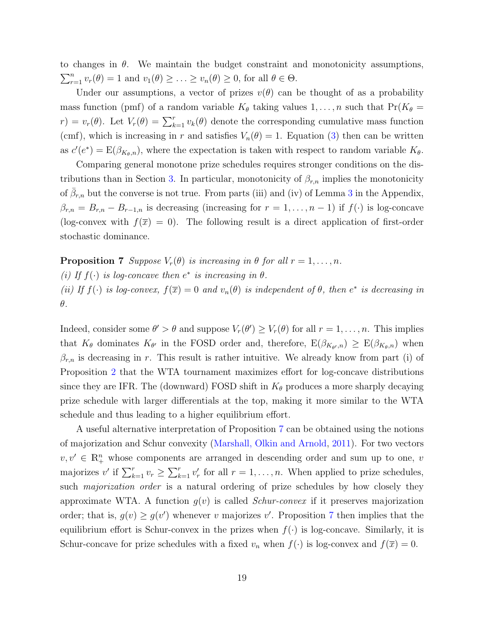to changes in  $\theta$ . We maintain the budget constraint and monotonicity assumptions,  $\sum_{r=1}^{n} v_r(\theta) = 1$  and  $v_1(\theta) \geq \ldots \geq v_n(\theta) \geq 0$ , for all  $\theta \in \Theta$ .

Under our assumptions, a vector of prizes  $v(\theta)$  can be thought of as a probability mass function (pmf) of a random variable  $K_{\theta}$  taking values  $1, \ldots, n$  such that  $Pr(K_{\theta} =$  $r) = v_r(\theta)$ . Let  $V_r(\theta) = \sum_{k=1}^r v_k(\theta)$  denote the corresponding cumulative mass function (cmf), which is increasing in r and satisfies  $V_n(\theta) = 1$ . Equation [\(3\)](#page-7-2) then can be written as  $c'(e^*) = E(\beta_{K_{\theta},n})$ , where the expectation is taken with respect to random variable  $K_{\theta}$ .

Comparing general monotone prize schedules requires stronger conditions on the dis-tributions than in Section [3.](#page-8-0) In particular, monotonicity of  $\beta_{r,n}$  implies the monotonicity of  $\bar{\beta}_{r,n}$  but the converse is not true. From parts (iii) and (iv) of Lemma [3](#page-32-0) in the Appendix,  $\beta_{r,n} = B_{r,n} - B_{r-1,n}$  is decreasing (increasing for  $r = 1, \ldots, n-1$ ) if  $f(\cdot)$  is log-concave (log-convex with  $f(\overline{x}) = 0$ ). The following result is a direct application of first-order stochastic dominance.

<span id="page-18-0"></span>**Proposition 7** Suppose  $V_r(\theta)$  is increasing in  $\theta$  for all  $r = 1, \ldots, n$ . (i) If  $f(\cdot)$  is log-concave then  $e^*$  is increasing in  $\theta$ . (ii) If  $f(\cdot)$  is log-convex,  $f(\overline{x}) = 0$  and  $v_n(\theta)$  is independent of  $\theta$ , then  $e^*$  is decreasing in θ.

Indeed, consider some  $\theta' > \theta$  and suppose  $V_r(\theta') \ge V_r(\theta)$  for all  $r = 1, ..., n$ . This implies that  $K_{\theta}$  dominates  $K_{\theta'}$  in the FOSD order and, therefore,  $E(\beta_{K_{\theta'},n}) \geq E(\beta_{K_{\theta},n})$  when  $\beta_{r,n}$  is decreasing in r. This result is rather intuitive. We already know from part (i) of Proposition [2](#page-12-1) that the WTA tournament maximizes effort for log-concave distributions since they are IFR. The (downward) FOSD shift in  $K_{\theta}$  produces a more sharply decaying prize schedule with larger differentials at the top, making it more similar to the WTA schedule and thus leading to a higher equilibrium effort.

A useful alternative interpretation of Proposition [7](#page-18-0) can be obtained using the notions of majorization and Schur convexity [\(Marshall, Olkin and Arnold,](#page-29-11) [2011\)](#page-29-11). For two vectors  $v, v' \in \mathbb{R}^n_+$  whose components are arranged in descending order and sum up to one, v majorizes v' if  $\sum_{k=1}^r v_r \geq \sum_{k=1}^r v'_r$  for all  $r = 1, \ldots, n$ . When applied to prize schedules, such *majorization order* is a natural ordering of prize schedules by how closely they approximate WTA. A function  $g(v)$  is called *Schur-convex* if it preserves majorization order; that is,  $g(v) \ge g(v')$  whenever v majorizes v'. Proposition [7](#page-18-0) then implies that the equilibrium effort is Schur-convex in the prizes when  $f(\cdot)$  is log-concave. Similarly, it is Schur-concave for prize schedules with a fixed  $v_n$  when  $f(\cdot)$  is log-convex and  $f(\overline{x}) = 0$ .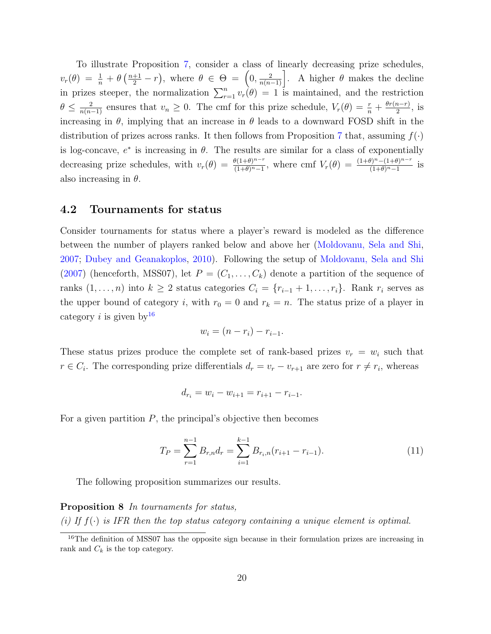To illustrate Proposition [7,](#page-18-0) consider a class of linearly decreasing prize schedules,  $v_r(\theta) = \frac{1}{n} + \theta \left( \frac{n+1}{2} - r \right)$ , where  $\theta \in \Theta = \left( 0, \frac{2}{n(n-1)} \right]$ . A higher  $\theta$  makes the decline in prizes steeper, the normalization  $\sum_{r=1}^{n} v_r(\theta) = 1$  is maintained, and the restriction  $\theta \leq \frac{2}{n(n-1)}$  ensures that  $v_n \geq 0$ . The cmf for this prize schedule,  $V_r(\theta) = \frac{r}{n} + \frac{\theta r(n-r)}{2}$  $\frac{n-r}{2}$ , is increasing in  $\theta$ , implying that an increase in  $\theta$  leads to a downward FOSD shift in the distribution of prizes across ranks. It then follows from Proposition [7](#page-18-0) that, assuming  $f(\cdot)$ is log-concave,  $e^*$  is increasing in  $\theta$ . The results are similar for a class of exponentially decreasing prize schedules, with  $v_r(\theta) = \frac{\theta(1+\theta)^{n-r}}{(1+\theta)^{n-r}}$  $\frac{\theta(1+\theta)^{n-r}}{(1+\theta)^{n}-1}$ , where cmf  $V_r(\theta) = \frac{(1+\theta)^n - (1+\theta)^{n-r}}{(1+\theta)^{n}-1}$  $\frac{\theta_{1}^{n}-(1+\theta_{1}^{n})^{n}}{(1+\theta_{1}^{n}-1)}$  is also increasing in  $\theta$ .

## <span id="page-19-0"></span>4.2 Tournaments for status

Consider tournaments for status where a player's reward is modeled as the difference between the number of players ranked below and above her [\(Moldovanu, Sela and Shi,](#page-29-3) [2007;](#page-29-3) [Dubey and Geanakoplos,](#page-27-9) [2010\)](#page-27-9). Following the setup of [Moldovanu, Sela and Shi](#page-29-3) [\(2007\)](#page-29-3) (henceforth, MSS07), let  $P = (C_1, \ldots, C_k)$  denote a partition of the sequence of ranks  $(1, \ldots, n)$  into  $k \geq 2$  status categories  $C_i = \{r_{i-1} + 1, \ldots, r_i\}$ . Rank  $r_i$  serves as the upper bound of category i, with  $r_0 = 0$  and  $r_k = n$ . The status prize of a player in category *i* is given by  $16$ 

$$
w_i = (n - r_i) - r_{i-1}.
$$

These status prizes produce the complete set of rank-based prizes  $v_r = w_i$  such that  $r \in C_i$ . The corresponding prize differentials  $d_r = v_r - v_{r+1}$  are zero for  $r \neq r_i$ , whereas

$$
d_{r_i} = w_i - w_{i+1} = r_{i+1} - r_{i-1}.
$$

For a given partition  $P$ , the principal's objective then becomes

<span id="page-19-3"></span>
$$
T_P = \sum_{r=1}^{n-1} B_{r,n} d_r = \sum_{i=1}^{k-1} B_{r_i,n} (r_{i+1} - r_{i-1}).
$$
\n(11)

The following proposition summarizes our results.

### <span id="page-19-2"></span>Proposition 8 In tournaments for status,

(i) If  $f(\cdot)$  is IFR then the top status category containing a unique element is optimal.

<span id="page-19-1"></span><sup>&</sup>lt;sup>16</sup>The definition of MSS07 has the opposite sign because in their formulation prizes are increasing in rank and  $C_k$  is the top category.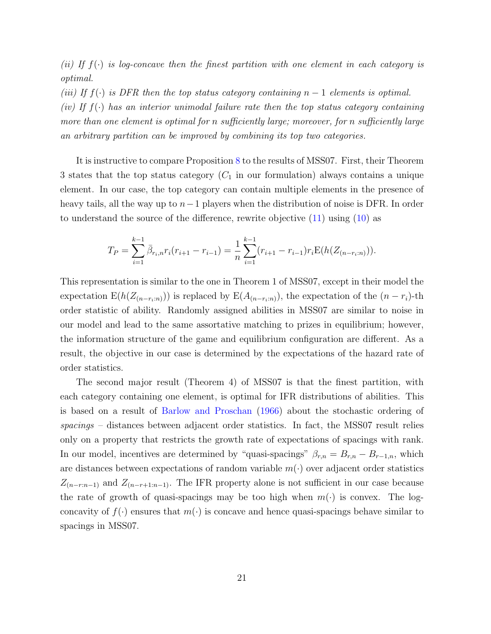(ii) If  $f(\cdot)$  is log-concave then the finest partition with one element in each category is optimal.

(iii) If  $f(\cdot)$  is DFR then the top status category containing  $n-1$  elements is optimal. (iv) If  $f(\cdot)$  has an interior unimodal failure rate then the top status category containing more than one element is optimal for n sufficiently large; moreover, for n sufficiently large an arbitrary partition can be improved by combining its top two categories.

It is instructive to compare Proposition [8](#page-19-2) to the results of MSS07. First, their Theorem 3 states that the top status category  $(C_1$  in our formulation) always contains a unique element. In our case, the top category can contain multiple elements in the presence of heavy tails, all the way up to  $n-1$  players when the distribution of noise is DFR. In order to understand the source of the difference, rewrite objective [\(11\)](#page-19-3) using [\(10\)](#page-11-3) as

$$
T_P = \sum_{i=1}^{k-1} \bar{\beta}_{r_i,n} r_i (r_{i+1} - r_{i-1}) = \frac{1}{n} \sum_{i=1}^{k-1} (r_{i+1} - r_{i-1}) r_i \mathcal{E}(h(Z_{(n-r_i:n)})).
$$

This representation is similar to the one in Theorem 1 of MSS07, except in their model the expectation E( $h(Z_{(n-r_i:n)})$ ) is replaced by E( $A_{(n-r_i:n)}$ ), the expectation of the  $(n-r_i)$ -th order statistic of ability. Randomly assigned abilities in MSS07 are similar to noise in our model and lead to the same assortative matching to prizes in equilibrium; however, the information structure of the game and equilibrium configuration are different. As a result, the objective in our case is determined by the expectations of the hazard rate of order statistics.

The second major result (Theorem 4) of MSS07 is that the finest partition, with each category containing one element, is optimal for IFR distributions of abilities. This is based on a result of [Barlow and Proschan](#page-26-9) [\(1966\)](#page-26-9) about the stochastic ordering of spacings – distances between adjacent order statistics. In fact, the MSS07 result relies only on a property that restricts the growth rate of expectations of spacings with rank. In our model, incentives are determined by "quasi-spacings"  $\beta_{r,n} = B_{r,n} - B_{r-1,n}$ , which are distances between expectations of random variable  $m(\cdot)$  over adjacent order statistics  $Z_{(n-r:n-1)}$  and  $Z_{(n-r+1:n-1)}$ . The IFR property alone is not sufficient in our case because the rate of growth of quasi-spacings may be too high when  $m(\cdot)$  is convex. The logconcavity of  $f(\cdot)$  ensures that  $m(\cdot)$  is concave and hence quasi-spacings behave similar to spacings in MSS07.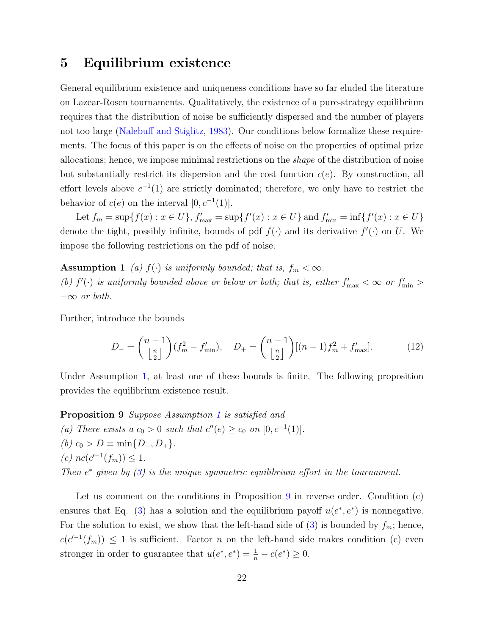## <span id="page-21-0"></span>5 Equilibrium existence

General equilibrium existence and uniqueness conditions have so far eluded the literature on Lazear-Rosen tournaments. Qualitatively, the existence of a pure-strategy equilibrium requires that the distribution of noise be sufficiently dispersed and the number of players not too large [\(Nalebuff and Stiglitz,](#page-29-4) [1983\)](#page-29-4). Our conditions below formalize these requirements. The focus of this paper is on the effects of noise on the properties of optimal prize allocations; hence, we impose minimal restrictions on the shape of the distribution of noise but substantially restrict its dispersion and the cost function  $c(e)$ . By construction, all effort levels above  $c^{-1}(1)$  are strictly dominated; therefore, we only have to restrict the behavior of  $c(e)$  on the interval  $[0, c^{-1}(1)].$ 

Let  $f_m = \sup\{f(x) : x \in U\}$ ,  $f'_{\text{max}} = \sup\{f'(x) : x \in U\}$  and  $f'_{\text{min}} = \inf\{f'(x) : x \in U\}$ denote the tight, possibly infinite, bounds of pdf  $f(\cdot)$  and its derivative  $f'(\cdot)$  on U. We impose the following restrictions on the pdf of noise.

**Assumption 1** (a)  $f(\cdot)$  is uniformly bounded; that is,  $f_m < \infty$ . (b)  $f'(\cdot)$  is uniformly bounded above or below or both; that is, either  $f'_{\text{max}} < \infty$  or  $f'_{\text{min}} >$  $-\infty$  or both.

Further, introduce the bounds

<span id="page-21-3"></span><span id="page-21-2"></span>
$$
D_{-} = \binom{n-1}{\left\lfloor \frac{n}{2} \right\rfloor} (f_m^2 - f_{\min}'), \quad D_{+} = \binom{n-1}{\left\lfloor \frac{n}{2} \right\rfloor} [(n-1)f_m^2 + f_{\max}'].
$$
 (12)

Under Assumption [1,](#page-21-2) at least one of these bounds is finite. The following proposition provides the equilibrium existence result.

<span id="page-21-1"></span>Proposition 9 Suppose Assumption [1](#page-21-2) is satisfied and (a) There exists a  $c_0 > 0$  such that  $c''(e) \ge c_0$  on  $[0, c^{-1}(1)].$ (b)  $c_0 > D \equiv \min\{D_-, D_+\}.$ (c)  $nc(c'^{-1}(f_m)) \leq 1$ . Then  $e^*$  given by  $(3)$  is the unique symmetric equilibrium effort in the tournament.

Let us comment on the conditions in Proposition [9](#page-21-1) in reverse order. Condition (c) ensures that Eq. [\(3\)](#page-7-2) has a solution and the equilibrium payoff  $u(e^*, e^*)$  is nonnegative. For the solution to exist, we show that the left-hand side of [\(3\)](#page-7-2) is bounded by  $f_m$ ; hence,  $c(c^{-1}(f_m)) \leq 1$  is sufficient. Factor *n* on the left-hand side makes condition (c) even stronger in order to guarantee that  $u(e^*, e^*) = \frac{1}{n} - c(e^*) \geq 0$ .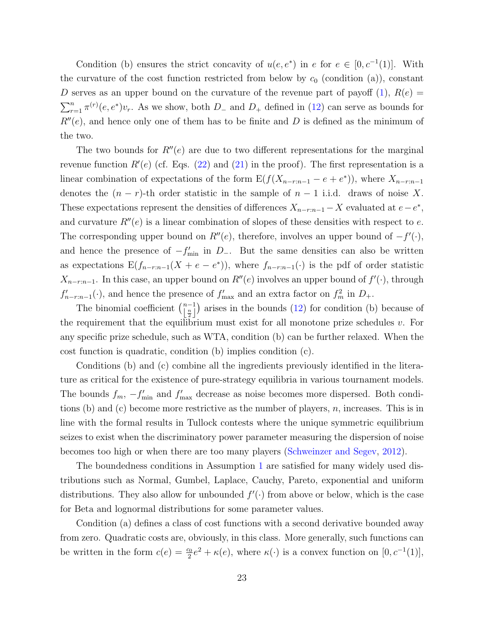Condition (b) ensures the strict concavity of  $u(e, e^*)$  in e for  $e \in [0, c^{-1}(1)]$ . With the curvature of the cost function restricted from below by  $c_0$  (condition (a)), constant D serves as an upper bound on the curvature of the revenue part of payoff  $(1)$ ,  $R(e)$  $\sum_{r=1}^{n} \pi^{(r)}(e, e^*) v_r$ . As we show, both  $D_-$  and  $D_+$  defined in [\(12\)](#page-21-3) can serve as bounds for  $R''(e)$ , and hence only one of them has to be finite and D is defined as the minimum of the two.

The two bounds for  $R''(e)$  are due to two different representations for the marginal revenue function  $R'(e)$  (cf. Eqs. [\(22\)](#page-39-0) and [\(21\)](#page-39-1) in the proof). The first representation is a linear combination of expectations of the form  $E(f(X_{n-r:n-1} - e + e^*))$ , where  $X_{n-r:n-1}$ denotes the  $(n - r)$ -th order statistic in the sample of  $n - 1$  i.i.d. draws of noise X. These expectations represent the densities of differences  $X_{n-r:n-1} - X$  evaluated at  $e - e^*$ , and curvature  $R''(e)$  is a linear combination of slopes of these densities with respect to e. The corresponding upper bound on  $R''(e)$ , therefore, involves an upper bound of  $-f'(\cdot)$ , and hence the presence of  $-f'_{\min}$  in  $D_{-}$ . But the same densities can also be written as expectations  $E(f_{n-r:n-1}(X + e - e^*))$ , where  $f_{n-r:n-1}(\cdot)$  is the pdf of order statistic  $X_{n-r:n-1}$ . In this case, an upper bound on  $R''(e)$  involves an upper bound of  $f'(\cdot)$ , through  $f'_{n-r:n-1}(\cdot)$ , and hence the presence of  $f'_{\text{max}}$  and an extra factor on  $f_m^2$  in  $D_+$ .

The binomial coefficient  $\binom{n-1}{\lfloor \frac{n}{2} \rfloor}$  arises in the bounds [\(12\)](#page-21-3) for condition (b) because of the requirement that the equilibrium must exist for all monotone prize schedules  $v$ . For any specific prize schedule, such as WTA, condition (b) can be further relaxed. When the cost function is quadratic, condition (b) implies condition (c).

Conditions (b) and (c) combine all the ingredients previously identified in the literature as critical for the existence of pure-strategy equilibria in various tournament models. The bounds  $f_m$ ,  $-f'_{\text{min}}$  and  $f'_{\text{max}}$  decrease as noise becomes more dispersed. Both conditions (b) and (c) become more restrictive as the number of players,  $n$ , increases. This is in line with the formal results in Tullock contests where the unique symmetric equilibrium seizes to exist when the discriminatory power parameter measuring the dispersion of noise becomes too high or when there are too many players [\(Schweinzer and Segev,](#page-30-9) [2012\)](#page-30-9).

The boundedness conditions in Assumption [1](#page-21-2) are satisfied for many widely used distributions such as Normal, Gumbel, Laplace, Cauchy, Pareto, exponential and uniform distributions. They also allow for unbounded  $f'(\cdot)$  from above or below, which is the case for Beta and lognormal distributions for some parameter values.

Condition (a) defines a class of cost functions with a second derivative bounded away from zero. Quadratic costs are, obviously, in this class. More generally, such functions can be written in the form  $c(e) = \frac{c_0}{2}e^2 + \kappa(e)$ , where  $\kappa(\cdot)$  is a convex function on  $[0, c^{-1}(1)],$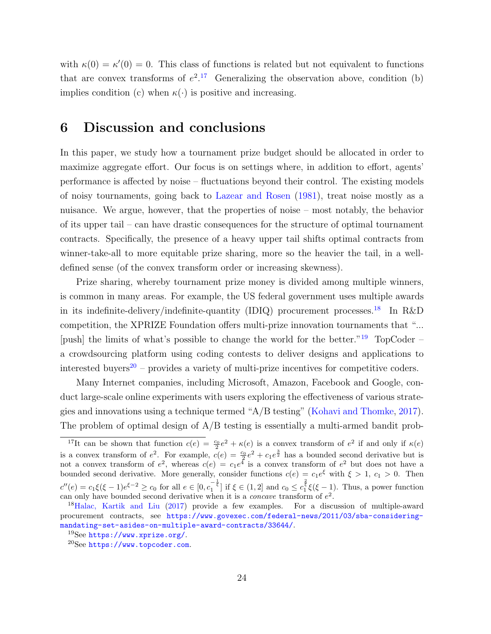with  $\kappa(0) = \kappa'(0) = 0$ . This class of functions is related but not equivalent to functions that are convex transforms of  $e^{2}$ .<sup>[17](#page-23-1)</sup> Generalizing the observation above, condition (b) implies condition (c) when  $\kappa(\cdot)$  is positive and increasing.

## <span id="page-23-0"></span>6 Discussion and conclusions

In this paper, we study how a tournament prize budget should be allocated in order to maximize aggregate effort. Our focus is on settings where, in addition to effort, agents' performance is affected by noise – fluctuations beyond their control. The existing models of noisy tournaments, going back to [Lazear and Rosen](#page-29-2) [\(1981\)](#page-29-2), treat noise mostly as a nuisance. We argue, however, that the properties of noise – most notably, the behavior of its upper tail – can have drastic consequences for the structure of optimal tournament contracts. Specifically, the presence of a heavy upper tail shifts optimal contracts from winner-take-all to more equitable prize sharing, more so the heavier the tail, in a welldefined sense (of the convex transform order or increasing skewness).

Prize sharing, whereby tournament prize money is divided among multiple winners, is common in many areas. For example, the US federal government uses multiple awards in its indefinite-delivery/indefinite-quantity (IDIQ) procurement processes.<sup>[18](#page-23-2)</sup> In R&D competition, the XPRIZE Foundation offers multi-prize innovation tournaments that "... [push] the limits of what's possible to change the world for the better."[19](#page-23-3) TopCoder – a crowdsourcing platform using coding contests to deliver designs and applications to interested buyers<sup>[20](#page-23-4)</sup> – provides a variety of multi-prize incentives for competitive coders.

Many Internet companies, including Microsoft, Amazon, Facebook and Google, conduct large-scale online experiments with users exploring the effectiveness of various strategies and innovations using a technique termed "A/B testing" [\(Kohavi and Thomke,](#page-28-10) [2017\)](#page-28-10). The problem of optimal design of A/B testing is essentially a multi-armed bandit prob-

<span id="page-23-1"></span><sup>&</sup>lt;sup>17</sup>It can be shown that function  $c(e) = \frac{c_0}{2}e^2 + \kappa(e)$  is a convex transform of  $e^2$  if and only if  $\kappa(e)$ is a convex transform of  $e^2$ . For example,  $c(e) = \frac{c_0}{2}e^2 + c_1e^{\frac{3}{2}}$  has a bounded second derivative but is not a convex transform of  $e^2$ , whereas  $c(e) = c_1e^4$  is a convex transform of  $e^2$  but does not have a bounded second derivative. More generally, consider functions  $c(e) = c_1 e^{\xi}$  with  $\xi > 1$ ,  $c_1 > 0$ . Then  $c''(e) = c_1 \xi(\xi - 1) e^{\xi - 2} \ge c_0$  for all  $e \in [0, c_1^{-\frac{1}{\xi}}]$  if  $\xi \in (1, 2]$  and  $c_0 \le c_1^{\frac{2}{\xi}} \xi(\xi - 1)$ . Thus, a power function can only have bounded second derivative when it is a *concave* transform of  $e^2$ .

<span id="page-23-2"></span><sup>18</sup>[Halac, Kartik and Liu](#page-28-11) [\(2017\)](#page-28-11) provide a few examples. For a discussion of multiple-award procurement contracts, see [https://www.govexec.com/federal-news/2011/03/sba-considering](https://www.govexec.com/federal-news/2011/03/sba-considering-mandating-set-asides-on-multiple-award-contracts/33644/)[mandating-set-asides-on-multiple-award-contracts/33644/](https://www.govexec.com/federal-news/2011/03/sba-considering-mandating-set-asides-on-multiple-award-contracts/33644/).

<span id="page-23-3"></span> $19$ See <https://www.xprize.org/>.

<span id="page-23-4"></span><sup>20</sup>See <https://www.topcoder.com>.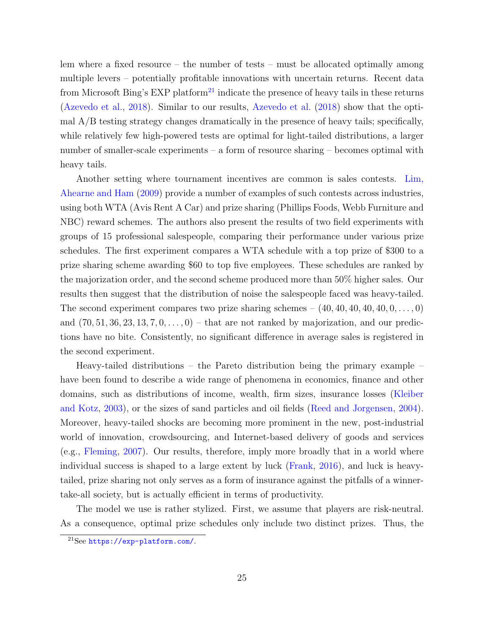lem where a fixed resource – the number of tests – must be allocated optimally among multiple levers – potentially profitable innovations with uncertain returns. Recent data from Microsoft Bing's EXP platform<sup>[21](#page-24-0)</sup> indicate the presence of heavy tails in these returns [\(Azevedo et al.,](#page-26-10) [2018\)](#page-26-10). Similar to our results, [Azevedo et al.](#page-26-10) [\(2018\)](#page-26-10) show that the optimal A/B testing strategy changes dramatically in the presence of heavy tails; specifically, while relatively few high-powered tests are optimal for light-tailed distributions, a larger number of smaller-scale experiments – a form of resource sharing – becomes optimal with heavy tails.

Another setting where tournament incentives are common is sales contests. [Lim,](#page-29-12) [Ahearne and Ham](#page-29-12) [\(2009\)](#page-29-12) provide a number of examples of such contests across industries, using both WTA (Avis Rent A Car) and prize sharing (Phillips Foods, Webb Furniture and NBC) reward schemes. The authors also present the results of two field experiments with groups of 15 professional salespeople, comparing their performance under various prize schedules. The first experiment compares a WTA schedule with a top prize of \$300 to a prize sharing scheme awarding \$60 to top five employees. These schedules are ranked by the majorization order, and the second scheme produced more than 50% higher sales. Our results then suggest that the distribution of noise the salespeople faced was heavy-tailed. The second experiment compares two prize sharing schemes  $- (40, 40, 40, 40, 40, 0, \ldots, 0)$ and  $(70, 51, 36, 23, 13, 7, 0, \ldots, 0)$  – that are not ranked by majorization, and our predictions have no bite. Consistently, no significant difference in average sales is registered in the second experiment.

Heavy-tailed distributions – the Pareto distribution being the primary example – have been found to describe a wide range of phenomena in economics, finance and other domains, such as distributions of income, wealth, firm sizes, insurance losses [\(Kleiber](#page-28-12) [and Kotz,](#page-28-12) [2003\)](#page-28-12), or the sizes of sand particles and oil fields [\(Reed and Jorgensen,](#page-30-12) [2004\)](#page-30-12). Moreover, heavy-tailed shocks are becoming more prominent in the new, post-industrial world of innovation, crowdsourcing, and Internet-based delivery of goods and services (e.g., [Fleming,](#page-27-10) [2007\)](#page-27-10). Our results, therefore, imply more broadly that in a world where individual success is shaped to a large extent by luck [\(Frank,](#page-27-11) [2016\)](#page-27-11), and luck is heavytailed, prize sharing not only serves as a form of insurance against the pitfalls of a winnertake-all society, but is actually efficient in terms of productivity.

The model we use is rather stylized. First, we assume that players are risk-neutral. As a consequence, optimal prize schedules only include two distinct prizes. Thus, the

<span id="page-24-0"></span><sup>21</sup>See <https://exp-platform.com/>.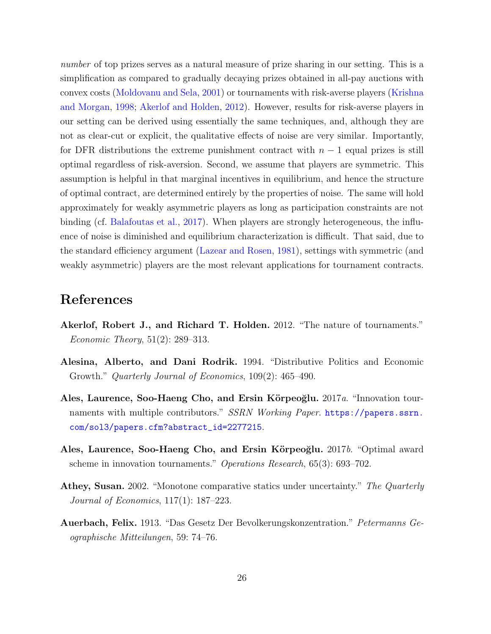number of top prizes serves as a natural measure of prize sharing in our setting. This is a simplification as compared to gradually decaying prizes obtained in all-pay auctions with convex costs [\(Moldovanu and Sela,](#page-29-5) [2001\)](#page-29-5) or tournaments with risk-averse players [\(Krishna](#page-28-5) [and Morgan,](#page-28-5) [1998;](#page-28-5) [Akerlof and Holden,](#page-25-2) [2012\)](#page-25-2). However, results for risk-averse players in our setting can be derived using essentially the same techniques, and, although they are not as clear-cut or explicit, the qualitative effects of noise are very similar. Importantly, for DFR distributions the extreme punishment contract with  $n-1$  equal prizes is still optimal regardless of risk-aversion. Second, we assume that players are symmetric. This assumption is helpful in that marginal incentives in equilibrium, and hence the structure of optimal contract, are determined entirely by the properties of noise. The same will hold approximately for weakly asymmetric players as long as participation constraints are not binding (cf. [Balafoutas et al.,](#page-26-6) [2017\)](#page-26-6). When players are strongly heterogeneous, the influence of noise is diminished and equilibrium characterization is difficult. That said, due to the standard efficiency argument [\(Lazear and Rosen,](#page-29-2) [1981\)](#page-29-2), settings with symmetric (and weakly asymmetric) players are the most relevant applications for tournament contracts.

# References

- <span id="page-25-2"></span>Akerlof, Robert J., and Richard T. Holden. 2012. "The nature of tournaments." Economic Theory, 51(2): 289–313.
- <span id="page-25-1"></span>Alesina, Alberto, and Dani Rodrik. 1994. "Distributive Politics and Economic Growth." Quarterly Journal of Economics, 109(2): 465–490.
- <span id="page-25-3"></span>Ales, Laurence, Soo-Haeng Cho, and Ersin Körpeoğlu.  $2017a$ . "Innovation tournaments with multiple contributors." SSRN Working Paper. [https://papers.ssrn.](https://papers.ssrn.com/sol3/papers.cfm?abstract_id=2277215) [com/sol3/papers.cfm?abstract\\_id=2277215](https://papers.ssrn.com/sol3/papers.cfm?abstract_id=2277215).
- <span id="page-25-4"></span>Ales, Laurence, Soo-Haeng Cho, and Ersin Körpeoğlu. 2017b. "Optimal award scheme in innovation tournaments." Operations Research, 65(3): 693–702.
- <span id="page-25-5"></span>Athey, Susan. 2002. "Monotone comparative statics under uncertainty." The Quarterly Journal of Economics, 117(1): 187–223.
- <span id="page-25-0"></span>Auerbach, Felix. 1913. "Das Gesetz Der Bevolkerungskonzentration." Petermanns Geographische Mitteilungen, 59: 74–76.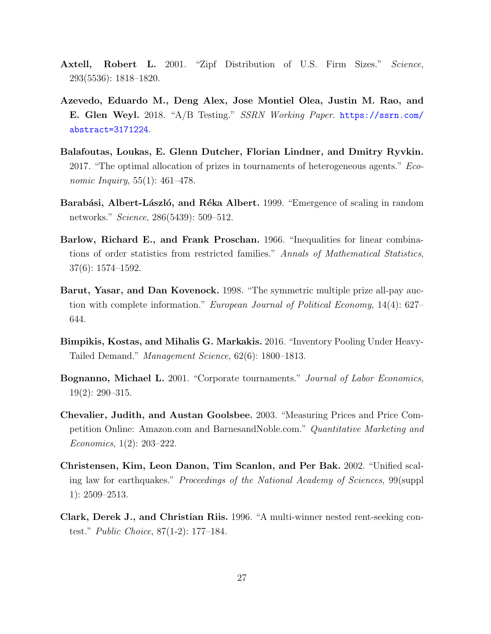- <span id="page-26-0"></span>Axtell, Robert L. 2001. "Zipf Distribution of U.S. Firm Sizes." Science, 293(5536): 1818–1820.
- <span id="page-26-10"></span>Azevedo, Eduardo M., Deng Alex, Jose Montiel Olea, Justin M. Rao, and E. Glen Weyl. 2018. "A/B Testing." SSRN Working Paper. [https://ssrn.com/](https://ssrn.com/abstract=3171224) [abstract=3171224](https://ssrn.com/abstract=3171224).
- <span id="page-26-6"></span>Balafoutas, Loukas, E. Glenn Dutcher, Florian Lindner, and Dmitry Ryvkin. 2017. "The optimal allocation of prizes in tournaments of heterogeneous agents." Economic Inquiry, 55(1): 461–478.
- <span id="page-26-5"></span>Barabási, Albert-László, and Réka Albert. 1999. "Emergence of scaling in random networks." Science, 286(5439): 509–512.
- <span id="page-26-9"></span>Barlow, Richard E., and Frank Proschan. 1966. "Inequalities for linear combinations of order statistics from restricted families." Annals of Mathematical Statistics, 37(6): 1574–1592.
- <span id="page-26-7"></span>Barut, Yasar, and Dan Kovenock. 1998. "The symmetric multiple prize all-pay auction with complete information." European Journal of Political Economy, 14(4): 627– 644.
- <span id="page-26-2"></span>Bimpikis, Kostas, and Mihalis G. Markakis. 2016. "Inventory Pooling Under Heavy-Tailed Demand." Management Science, 62(6): 1800–1813.
- <span id="page-26-3"></span>Bognanno, Michael L. 2001. "Corporate tournaments." Journal of Labor Economics, 19(2): 290–315.
- <span id="page-26-1"></span>Chevalier, Judith, and Austan Goolsbee. 2003. "Measuring Prices and Price Competition Online: Amazon.com and BarnesandNoble.com." Quantitative Marketing and Economics, 1(2): 203–222.
- <span id="page-26-4"></span>Christensen, Kim, Leon Danon, Tim Scanlon, and Per Bak. 2002. "Unified scaling law for earthquakes." Proceedings of the National Academy of Sciences, 99(suppl 1): 2509–2513.
- <span id="page-26-8"></span>Clark, Derek J., and Christian Riis. 1996. "A multi-winner nested rent-seeking contest." Public Choice, 87(1-2): 177–184.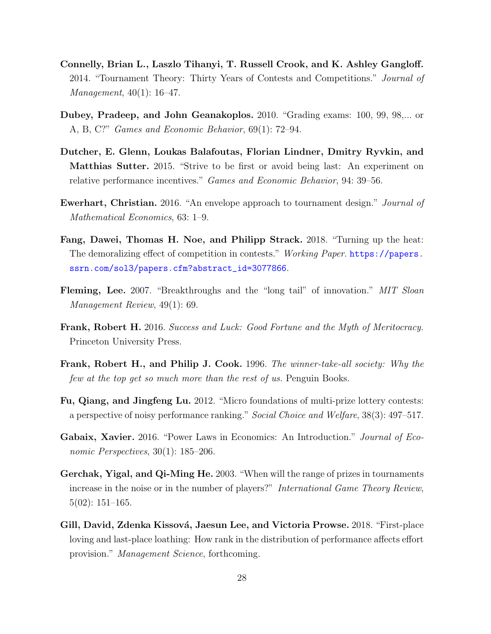- <span id="page-27-3"></span>Connelly, Brian L., Laszlo Tihanyi, T. Russell Crook, and K. Ashley Gangloff. 2014. "Tournament Theory: Thirty Years of Contests and Competitions." Journal of Management, 40(1): 16–47.
- <span id="page-27-9"></span>Dubey, Pradeep, and John Geanakoplos. 2010. "Grading exams: 100, 99, 98,... or A, B, C?" Games and Economic Behavior, 69(1): 72–94.
- <span id="page-27-5"></span>Dutcher, E. Glenn, Loukas Balafoutas, Florian Lindner, Dmitry Ryvkin, and Matthias Sutter. 2015. "Strive to be first or avoid being last: An experiment on relative performance incentives." Games and Economic Behavior, 94: 39–56.
- <span id="page-27-7"></span>Ewerhart, Christian. 2016. "An envelope approach to tournament design." Journal of Mathematical Economics, 63: 1–9.
- <span id="page-27-4"></span>Fang, Dawei, Thomas H. Noe, and Philipp Strack. 2018. "Turning up the heat: The demoralizing effect of competition in contests." Working Paper. [https://papers.](https://papers.ssrn.com/sol3/papers.cfm?abstract_id=3077866) [ssrn.com/sol3/papers.cfm?abstract\\_id=3077866](https://papers.ssrn.com/sol3/papers.cfm?abstract_id=3077866).
- <span id="page-27-10"></span>Fleming, Lee. 2007. "Breakthroughs and the "long tail" of innovation." MIT Sloan Management Review, 49(1): 69.
- <span id="page-27-11"></span>Frank, Robert H. 2016. Success and Luck: Good Fortune and the Myth of Meritocracy. Princeton University Press.
- <span id="page-27-1"></span>Frank, Robert H., and Philip J. Cook. 1996. The winner-take-all society: Why the few at the top get so much more than the rest of us. Penguin Books.
- <span id="page-27-8"></span>Fu, Qiang, and Jingfeng Lu. 2012. "Micro foundations of multi-prize lottery contests: a perspective of noisy performance ranking." Social Choice and Welfare, 38(3): 497–517.
- <span id="page-27-0"></span>Gabaix, Xavier. 2016. "Power Laws in Economics: An Introduction." Journal of Economic Perspectives, 30(1): 185–206.
- <span id="page-27-2"></span>Gerchak, Yigal, and Qi-Ming He. 2003. "When will the range of prizes in tournaments increase in the noise or in the number of players?" International Game Theory Review, 5(02): 151–165.
- <span id="page-27-6"></span>Gill, David, Zdenka Kissová, Jaesun Lee, and Victoria Prowse. 2018. "First-place loving and last-place loathing: How rank in the distribution of performance affects effort provision." Management Science, forthcoming.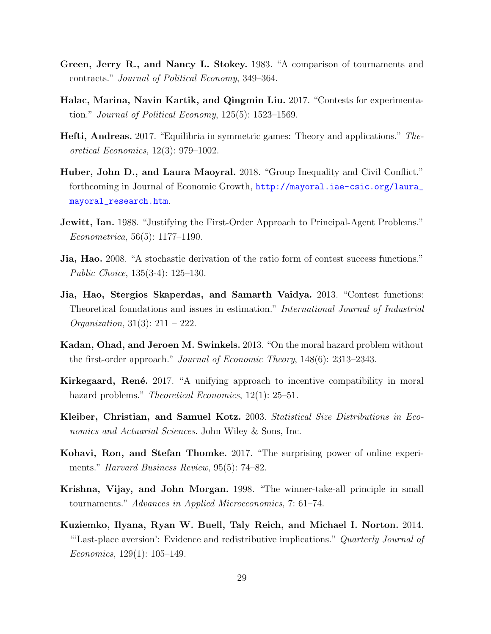- <span id="page-28-4"></span>Green, Jerry R., and Nancy L. Stokey. 1983. "A comparison of tournaments and contracts." Journal of Political Economy, 349–364.
- <span id="page-28-11"></span>Halac, Marina, Navin Kartik, and Qingmin Liu. 2017. "Contests for experimentation." Journal of Political Economy,  $125(5)$ : 1523–1569.
- <span id="page-28-9"></span>Hefti, Andreas. 2017. "Equilibria in symmetric games: Theory and applications." Theoretical Economics, 12(3): 979–1002.
- <span id="page-28-0"></span>Huber, John D., and Laura Maoyral. 2018. "Group Inequality and Civil Conflict." forthcoming in Journal of Economic Growth, [http://mayoral.iae-csic.org/laura\\_](http://mayoral.iae-csic.org/laura_mayoral_research.htm) [mayoral\\_research.htm](http://mayoral.iae-csic.org/laura_mayoral_research.htm).
- <span id="page-28-1"></span>**Jewitt, Ian.** 1988. "Justifying the First-Order Approach to Principal-Agent Problems." Econometrica, 56(5): 1177–1190.
- <span id="page-28-8"></span>Jia, Hao. 2008. "A stochastic derivation of the ratio form of contest success functions." Public Choice, 135(3-4): 125–130.
- <span id="page-28-6"></span>Jia, Hao, Stergios Skaperdas, and Samarth Vaidya. 2013. "Contest functions: Theoretical foundations and issues in estimation." International Journal of Industrial *Organization*,  $31(3): 211 - 222$ .
- <span id="page-28-2"></span>Kadan, Ohad, and Jeroen M. Swinkels. 2013. "On the moral hazard problem without the first-order approach." Journal of Economic Theory, 148(6): 2313–2343.
- <span id="page-28-3"></span>Kirkegaard, René. 2017. "A unifying approach to incentive compatibility in moral hazard problems." *Theoretical Economics*, 12(1): 25–51.
- <span id="page-28-12"></span>Kleiber, Christian, and Samuel Kotz. 2003. Statistical Size Distributions in Economics and Actuarial Sciences. John Wiley & Sons, Inc.
- <span id="page-28-10"></span>Kohavi, Ron, and Stefan Thomke. 2017. "The surprising power of online experiments." Harvard Business Review, 95(5): 74–82.
- <span id="page-28-5"></span>Krishna, Vijay, and John Morgan. 1998. "The winner-take-all principle in small tournaments." Advances in Applied Microeconomics, 7: 61–74.
- <span id="page-28-7"></span>Kuziemko, Ilyana, Ryan W. Buell, Taly Reich, and Michael I. Norton. 2014. "Last-place aversion': Evidence and redistributive implications." Quarterly Journal of Economics, 129(1): 105–149.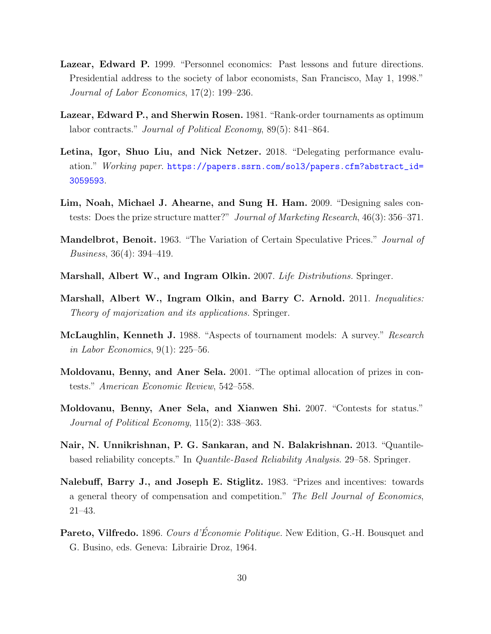- <span id="page-29-7"></span>Lazear, Edward P. 1999. "Personnel economics: Past lessons and future directions. Presidential address to the society of labor economists, San Francisco, May 1, 1998." Journal of Labor Economics, 17(2): 199–236.
- <span id="page-29-2"></span>Lazear, Edward P., and Sherwin Rosen. 1981. "Rank-order tournaments as optimum labor contracts." *Journal of Political Economy*, 89(5): 841–864.
- <span id="page-29-8"></span>Letina, Igor, Shuo Liu, and Nick Netzer. 2018. "Delegating performance evaluation." Working paper. [https://papers.ssrn.com/sol3/papers.cfm?abstract\\_id=](https://papers.ssrn.com/sol3/papers.cfm?abstract_id=3059593) [3059593](https://papers.ssrn.com/sol3/papers.cfm?abstract_id=3059593).
- <span id="page-29-12"></span>Lim, Noah, Michael J. Ahearne, and Sung H. Ham. 2009. "Designing sales contests: Does the prize structure matter?" Journal of Marketing Research, 46(3): 356–371.
- <span id="page-29-1"></span>Mandelbrot, Benoit. 1963. "The Variation of Certain Speculative Prices." Journal of Business, 36(4): 394–419.
- <span id="page-29-10"></span>Marshall, Albert W., and Ingram Olkin. 2007. Life Distributions. Springer.
- <span id="page-29-11"></span>Marshall, Albert W., Ingram Olkin, and Barry C. Arnold. 2011. Inequalities: Theory of majorization and its applications. Springer.
- <span id="page-29-6"></span>McLaughlin, Kenneth J. 1988. "Aspects of tournament models: A survey." Research in Labor Economics, 9(1): 225–56.
- <span id="page-29-5"></span>Moldovanu, Benny, and Aner Sela. 2001. "The optimal allocation of prizes in contests." American Economic Review, 542–558.
- <span id="page-29-3"></span>Moldovanu, Benny, Aner Sela, and Xianwen Shi. 2007. "Contests for status." Journal of Political Economy, 115(2): 338–363.
- <span id="page-29-9"></span>Nair, N. Unnikrishnan, P. G. Sankaran, and N. Balakrishnan. 2013. "Quantilebased reliability concepts." In Quantile-Based Reliability Analysis. 29–58. Springer.
- <span id="page-29-4"></span>Nalebuff, Barry J., and Joseph E. Stiglitz. 1983. "Prizes and incentives: towards a general theory of compensation and competition." The Bell Journal of Economics, 21–43.
- <span id="page-29-0"></span>Pareto, Vilfredo. 1896. Cours d'Économie Politique. New Edition, G.-H. Bousquet and G. Busino, eds. Geneva: Librairie Droz, 1964.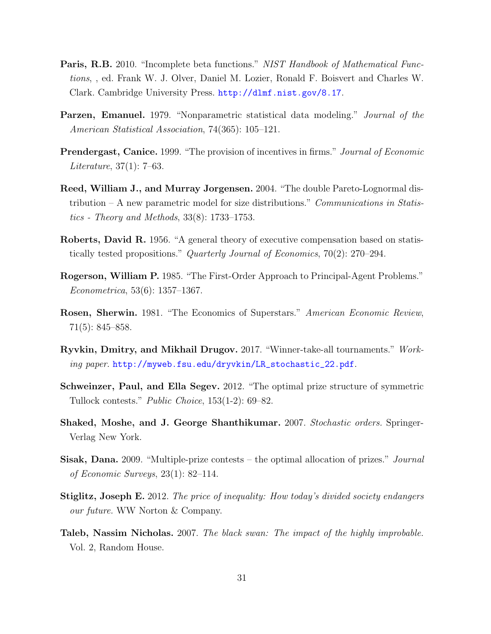- <span id="page-30-11"></span>Paris, R.B. 2010. "Incomplete beta functions." NIST Handbook of Mathematical Functions, , ed. Frank W. J. Olver, Daniel M. Lozier, Ronald F. Boisvert and Charles W. Clark. Cambridge University Press. <http://dlmf.nist.gov/8.17>.
- <span id="page-30-10"></span>Parzen, Emanuel. 1979. "Nonparametric statistical data modeling." Journal of the American Statistical Association, 74(365): 105–121.
- <span id="page-30-1"></span>Prendergast, Canice. 1999. "The provision of incentives in firms." Journal of Economic Literature, 37(1): 7–63.
- <span id="page-30-12"></span>Reed, William J., and Murray Jorgensen. 2004. "The double Pareto-Lognormal distribution – A new parametric model for size distributions." Communications in Statistics - Theory and Methods, 33(8): 1733–1753.
- <span id="page-30-0"></span>Roberts, David R. 1956. "A general theory of executive compensation based on statistically tested propositions." Quarterly Journal of Economics, 70(2): 270–294.
- <span id="page-30-6"></span>Rogerson, William P. 1985. "The First-Order Approach to Principal-Agent Problems." Econometrica, 53(6): 1357–1367.
- <span id="page-30-5"></span>Rosen, Sherwin. 1981. "The Economics of Superstars." American Economic Review, 71(5): 845–858.
- <span id="page-30-7"></span>Ryvkin, Dmitry, and Mikhail Drugov. 2017. "Winner-take-all tournaments." Working paper. [http://myweb.fsu.edu/dryvkin/LR\\_stochastic\\_22.pdf](http://myweb.fsu.edu/dryvkin/LR_stochastic_22.pdf).
- <span id="page-30-9"></span>Schweinzer, Paul, and Ella Segev. 2012. "The optimal prize structure of symmetric Tullock contests." Public Choice, 153(1-2): 69–82.
- <span id="page-30-4"></span>Shaked, Moshe, and J. George Shanthikumar. 2007. Stochastic orders. Springer-Verlag New York.
- <span id="page-30-8"></span>**Sisak, Dana.** 2009. "Multiple-prize contests – the optimal allocation of prizes." *Journal* of Economic Surveys, 23(1): 82–114.
- <span id="page-30-2"></span>Stiglitz, Joseph E. 2012. The price of inequality: How today's divided society endangers our future. WW Norton & Company.
- <span id="page-30-3"></span>Taleb, Nassim Nicholas. 2007. The black swan: The impact of the highly improbable. Vol. 2, Random House.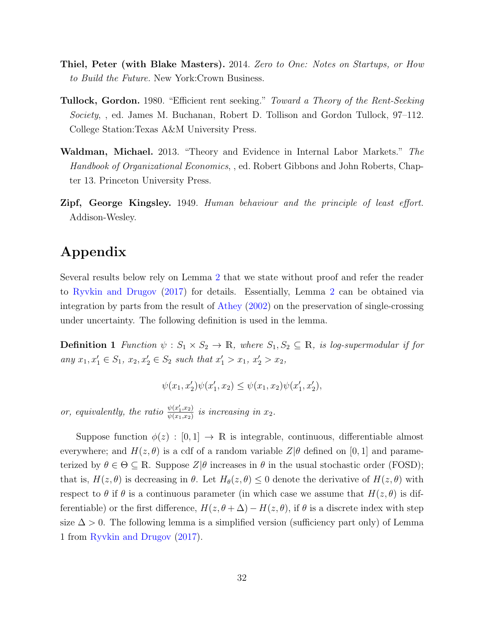- Thiel, Peter (with Blake Masters). 2014. Zero to One: Notes on Startups, or How to Build the Future. New York:Crown Business.
- <span id="page-31-2"></span>Tullock, Gordon. 1980. "Efficient rent seeking." Toward a Theory of the Rent-Seeking Society, , ed. James M. Buchanan, Robert D. Tollison and Gordon Tullock, 97–112. College Station:Texas A&M University Press.
- <span id="page-31-0"></span>Waldman, Michael. 2013. "Theory and Evidence in Internal Labor Markets." The Handbook of Organizational Economics, , ed. Robert Gibbons and John Roberts, Chapter 13. Princeton University Press.
- <span id="page-31-1"></span>Zipf, George Kingsley. 1949. Human behaviour and the principle of least effort. Addison-Wesley.

# Appendix

Several results below rely on Lemma [2](#page-31-3) that we state without proof and refer the reader to [Ryvkin and Drugov](#page-30-7) [\(2017\)](#page-30-7) for details. Essentially, Lemma [2](#page-31-3) can be obtained via integration by parts from the result of [Athey](#page-25-5) [\(2002\)](#page-25-5) on the preservation of single-crossing under uncertainty. The following definition is used in the lemma.

**Definition 1** Function  $\psi : S_1 \times S_2 \to \mathbb{R}$ , where  $S_1, S_2 \subseteq \mathbb{R}$ , is log-supermodular if for any  $x_1, x_1' \in S_1$ ,  $x_2, x_2' \in S_2$  such that  $x_1' > x_1$ ,  $x_2' > x_2$ ,

$$
\psi(x_1,x_2')\psi(x_1',x_2)\leq \psi(x_1,x_2)\psi(x_1',x_2'),
$$

or, equivalently, the ratio  $\frac{\psi(x_1', x_2)}{\psi(x_1, x_2)}$  $\frac{\psi(x_1,x_2)}{\psi(x_1,x_2)}$  is increasing in  $x_2$ .

<span id="page-31-3"></span>Suppose function  $\phi(z) : [0,1] \to \mathbb{R}$  is integrable, continuous, differentiable almost everywhere; and  $H(z, \theta)$  is a cdf of a random variable  $Z|\theta$  defined on [0, 1] and parameterized by  $\theta \in \Theta \subseteq \mathbb{R}$ . Suppose  $Z|\theta$  increases in  $\theta$  in the usual stochastic order (FOSD); that is,  $H(z, \theta)$  is decreasing in  $\theta$ . Let  $H_{\theta}(z, \theta) \leq 0$  denote the derivative of  $H(z, \theta)$  with respect to  $\theta$  if  $\theta$  is a continuous parameter (in which case we assume that  $H(z, \theta)$  is differentiable) or the first difference,  $H(z, \theta + \Delta) - H(z, \theta)$ , if  $\theta$  is a discrete index with step size  $\Delta > 0$ . The following lemma is a simplified version (sufficiency part only) of Lemma 1 from [Ryvkin and Drugov](#page-30-7) [\(2017\)](#page-30-7).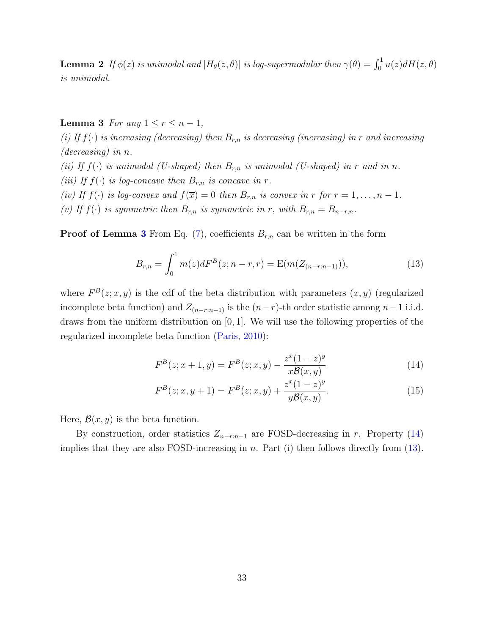**Lemma 2** If  $\phi(z)$  is unimodal and  $|H_{\theta}(z, \theta)|$  is log-supermodular then  $\gamma(\theta) = \int_0^1 u(z) dH(z, \theta)$ is unimodal.

<span id="page-32-0"></span>Lemma 3 For any  $1 \le r \le n-1$ ,

(i) If  $f(\cdot)$  is increasing (decreasing) then  $B_{r,n}$  is decreasing (increasing) in r and increasing (decreasing) in n. (ii) If  $f(\cdot)$  is unimodal (U-shaped) then  $B_{r,n}$  is unimodal (U-shaped) in r and in n. (iii) If  $f(\cdot)$  is log-concave then  $B_{r,n}$  is concave in r. (iv) If  $f(\cdot)$  is log-convex and  $f(\overline{x}) = 0$  then  $B_{r,n}$  is convex in r for  $r = 1, \ldots, n - 1$ .

(v) If  $f(\cdot)$  is symmetric then  $B_{r,n}$  is symmetric in r, with  $B_{r,n} = B_{n-r,n}$ .

**Proof of Lemma [3](#page-32-0)** From Eq. [\(7\)](#page-9-2), coefficients  $B_{r,n}$  can be written in the form

<span id="page-32-2"></span>
$$
B_{r,n} = \int_0^1 m(z)dF^B(z;n-r,r) = \mathcal{E}(m(Z_{(n-r:n-1)})),
$$
\n(13)

where  $F^{B}(z; x, y)$  is the cdf of the beta distribution with parameters  $(x, y)$  (regularized incomplete beta function) and  $Z_{(n-r:n-1)}$  is the  $(n-r)$ -th order statistic among  $n-1$  i.i.d. draws from the uniform distribution on  $[0, 1]$ . We will use the following properties of the regularized incomplete beta function [\(Paris,](#page-30-11) [2010\)](#page-30-11):

<span id="page-32-1"></span>
$$
F^{B}(z; x+1, y) = F^{B}(z; x, y) - \frac{z^{x}(1-z)^{y}}{x\mathcal{B}(x, y)}
$$
(14)

<span id="page-32-3"></span>
$$
F^{B}(z;x,y+1) = F^{B}(z;x,y) + \frac{z^{x}(1-z)^{y}}{yB(x,y)}.
$$
\n(15)

Here,  $\mathcal{B}(x, y)$  is the beta function.

By construction, order statistics  $Z_{n-r:n-1}$  are FOSD-decreasing in r. Property [\(14\)](#page-32-1) implies that they are also FOSD-increasing in n. Part (i) then follows directly from  $(13)$ .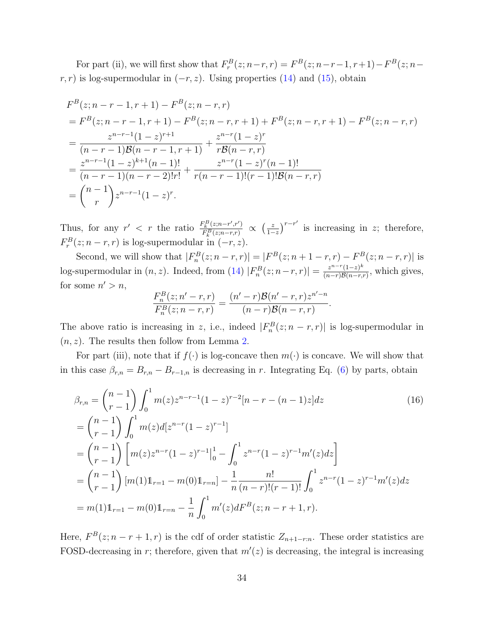For part (ii), we will first show that  $F_r^B(z; n-r, r) = F^B(z; n-r-1, r+1) - F^B(z; n-r)$  $r, r$ ) is log-supermodular in  $(-r, z)$ . Using properties [\(14\)](#page-32-1) and [\(15\)](#page-32-3), obtain

$$
F^{B}(z; n-r-1, r+1) - F^{B}(z; n-r, r)
$$
  
=  $F^{B}(z; n-r-1, r+1) - F^{B}(z; n-r, r+1) + F^{B}(z; n-r, r+1) - F^{B}(z; n-r, r)$   
= 
$$
\frac{z^{n-r-1}(1-z)^{r+1}}{(n-r-1)\mathcal{B}(n-r-1, r+1)} + \frac{z^{n-r}(1-z)^{r}}{r\mathcal{B}(n-r, r)}
$$
  
= 
$$
\frac{z^{n-r-1}(1-z)^{k+1}(n-1)!}{(n-r-1)(n-r-2)!r!} + \frac{z^{n-r}(1-z)^{r}(n-1)!}{r(n-r-1)!(r-1)! \mathcal{B}(n-r, r)}
$$
  
= 
$$
\binom{n-1}{r} z^{n-r-1}(1-z)^{r}.
$$

Thus, for any  $r' < r$  the ratio  $\frac{F_R^B(z; n-r', r')}{F_R^B(z; n-r', r')}$  $\frac{F_k^B(z;n-r',r')}{F_k^B(z;n-r,r)} \propto \left(\frac{z}{1-z}\right)$  $\frac{z}{1-z}$ <sup>r-r'</sup> is increasing in z; therefore,  $F_r^B(z; n-r, r)$  is log-supermodular in  $(-r, z)$ .

Second, we will show that  $|F_n^B(z; n-r, r)| = |F^B(z; n+1-r, r) - F^B(z; n-r, r)|$  is log-supermodular in  $(n, z)$ . Indeed, from [\(14\)](#page-32-1)  $|F_n^B(z; n-r, r)| = \frac{z^{n-r}(1-z)^k}{(n-r)B(n-r, z)}$  $\frac{z^{n} \cdot (1-z)^n}{(n-r)\mathcal{B}(n-r,r)},$  which gives, for some  $n' > n$ ,

<span id="page-33-0"></span>
$$
\frac{F_n^B(z; n' - r, r)}{F_n^B(z; n - r, r)} = \frac{(n' - r)\mathcal{B}(n' - r, r)z^{n' - n}}{(n - r)\mathcal{B}(n - r, r)}.
$$

The above ratio is increasing in z, i.e., indeed  $|F_n^B(z; n-r, r)|$  is log-supermodular in  $(n, z)$ . The results then follow from Lemma [2.](#page-31-3)

For part (iii), note that if  $f(\cdot)$  is log-concave then  $m(\cdot)$  is concave. We will show that in this case  $\beta_{r,n} = B_{r,n} - B_{r-1,n}$  is decreasing in r. Integrating Eq. [\(6\)](#page-9-1) by parts, obtain

$$
\beta_{r,n} = {n-1 \choose r-1} \int_0^1 m(z) z^{n-r-1} (1-z)^{r-2} [n-r - (n-1)z] dz
$$
\n
$$
= {n-1 \choose r-1} \int_0^1 m(z) d[z^{n-r} (1-z)^{r-1}]
$$
\n
$$
= {n-1 \choose r-1} \left[ m(z) z^{n-r} (1-z)^{r-1} \Big|_0^1 - \int_0^1 z^{n-r} (1-z)^{r-1} m'(z) dz \right]
$$
\n
$$
= {n-1 \choose r-1} [m(1) 1_{r=1} - m(0) 1_{r=n}] - \frac{1}{n} \frac{n!}{(n-r)!(r-1)!} \int_0^1 z^{n-r} (1-z)^{r-1} m'(z) dz
$$
\n
$$
= m(1) 1_{r=1} - m(0) 1_{r=n} - \frac{1}{n} \int_0^1 m'(z) dF^B(z; n-r+1, r).
$$
\n(16)

Here,  $F^{B}(z; n-r+1, r)$  is the cdf of order statistic  $Z_{n+1-r:n}$ . These order statistics are FOSD-decreasing in r; therefore, given that  $m'(z)$  is decreasing, the integral is increasing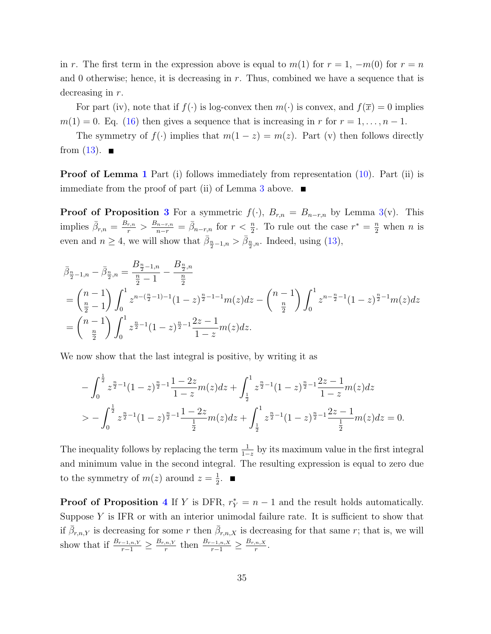in r. The first term in the expression above is equal to  $m(1)$  for  $r = 1, -m(0)$  for  $r = n$ and 0 otherwise; hence, it is decreasing in  $r$ . Thus, combined we have a sequence that is decreasing in r.

For part (iv), note that if  $f(\cdot)$  is log-convex then  $m(\cdot)$  is convex, and  $f(\overline{x}) = 0$  implies  $m(1) = 0$ . Eq. [\(16\)](#page-33-0) then gives a sequence that is increasing in r for  $r = 1, \ldots, n - 1$ .

The symmetry of  $f(\cdot)$  implies that  $m(1-z) = m(z)$ . Part (v) then follows directly from  $(13)$ .

Proof of Lemma [1](#page-12-0) Part (i) follows immediately from representation [\(10\)](#page-11-3). Part (ii) is immediate from the proof of part (ii) of Lemma [3](#page-32-0) above.  $\blacksquare$ 

**Proof of Proposition [3](#page-15-0)** For a symmetric  $f(\cdot)$ ,  $B_{r,n} = B_{n-r,n}$  by Lemma [3\(](#page-32-0)v). This implies  $\bar{\beta}_{r,n} = \frac{B_{r,n}}{r} > \frac{B_{n-r,n}}{n-r} = \bar{\beta}_{n-r,n}$  for  $r < \frac{n}{2}$ . To rule out the case  $r^* = \frac{n}{2}$  when n is even and  $n \geq 4$ , we will show that  $\bar{\beta}_{\frac{n}{2}-1,n} > \bar{\beta}_{\frac{n}{2},n}$ . Indeed, using [\(13\)](#page-32-2),

$$
\bar{\beta}_{\frac{n}{2}-1,n} - \bar{\beta}_{\frac{n}{2},n} = \frac{B_{\frac{n}{2}-1,n}}{\frac{n}{2}-1} - \frac{B_{\frac{n}{2},n}}{\frac{n}{2}} \n= {n-1 \choose \frac{n}{2}-1} \int_0^1 z^{n-(\frac{n}{2}-1)-1} (1-z)^{\frac{n}{2}-1-m}(z) dz - {n-1 \choose \frac{n}{2}} \int_0^1 z^{n-\frac{n}{2}-1} (1-z)^{\frac{n}{2}-1} m(z) dz \n= {n-1 \choose \frac{n}{2}} \int_0^1 z^{\frac{n}{2}-1} (1-z)^{\frac{n}{2}-1} \frac{2z-1}{1-z} m(z) dz.
$$

We now show that the last integral is positive, by writing it as

$$
-\int_0^{\frac{1}{2}} z^{\frac{n}{2}-1} (1-z)^{\frac{n}{2}-1} \frac{1-2z}{1-z} m(z) dz + \int_{\frac{1}{2}}^1 z^{\frac{n}{2}-1} (1-z)^{\frac{n}{2}-1} \frac{2z-1}{1-z} m(z) dz
$$
  
> 
$$
-\int_0^{\frac{1}{2}} z^{\frac{n}{2}-1} (1-z)^{\frac{n}{2}-1} \frac{1-2z}{\frac{1}{2}} m(z) dz + \int_{\frac{1}{2}}^1 z^{\frac{n}{2}-1} (1-z)^{\frac{n}{2}-1} \frac{2z-1}{\frac{1}{2}} m(z) dz = 0.
$$

The inequality follows by replacing the term  $\frac{1}{1-z}$  by its maximum value in the first integral and minimum value in the second integral. The resulting expression is equal to zero due to the symmetry of  $m(z)$  around  $z=\frac{1}{2}$  $\frac{1}{2}$ .

**Proof of Proposition [4](#page-16-0)** If Y is DFR,  $r_Y^* = n - 1$  and the result holds automatically. Suppose  $Y$  is IFR or with an interior unimodal failure rate. It is sufficient to show that if  $\bar{\beta}_{r,n,Y}$  is decreasing for some r then  $\bar{\beta}_{r,n,X}$  is decreasing for that same r; that is, we will show that if  $\frac{B_{r-1,n,Y}}{r-1} \geq \frac{B_{r,n,Y}}{r}$  $\frac{f_{n,N}}{r}$  then  $\frac{B_{r-1,n,X}}{r-1} \geq \frac{B_{r,n,X}}{r}$  $\frac{n, X}{r}$ .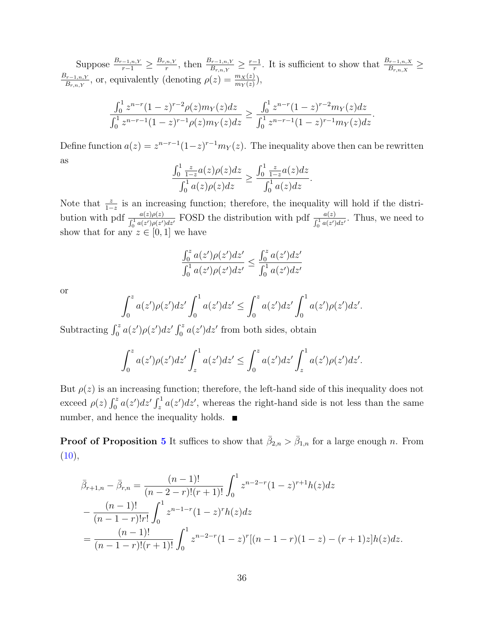Suppose  $\frac{B_{r-1,n,Y}}{r-1} \geq \frac{B_{r,n,Y}}{r}$  $\frac{r^{n,Y}}{r}$ , then  $\frac{B_{r-1,n,Y}}{B_{r,n,Y}} \geq \frac{r-1}{r}$  $\frac{-1}{r}$ . It is sufficient to show that  $\frac{B_{r-1,n,X}}{B_{r,n,X}}$  ≥  $B_{r-1,n,Y}$  $\frac{\beta_{r-1,n,Y}}{B_{r,n,Y}}$ , or, equivalently (denoting  $\rho(z) = \frac{m_X(z)}{m_Y(z)}$ ),

$$
\frac{\int_0^1 z^{n-r} (1-z)^{r-2} \rho(z) m_Y(z) dz}{\int_0^1 z^{n-r-1} (1-z)^{r-1} \rho(z) m_Y(z) dz} \ge \frac{\int_0^1 z^{n-r} (1-z)^{r-2} m_Y(z) dz}{\int_0^1 z^{n-r-1} (1-z)^{r-1} m_Y(z) dz}
$$

.

Define function  $a(z) = z^{n-r-1}(1-z)^{r-1}m_Y(z)$ . The inequality above then can be rewritten as

$$
\frac{\int_0^1 \frac{z}{1-z} a(z) \rho(z) dz}{\int_0^1 a(z) \rho(z) dz} \ge \frac{\int_0^1 \frac{z}{1-z} a(z) dz}{\int_0^1 a(z) dz}.
$$

Note that  $\frac{z}{1-z}$  is an increasing function; therefore, the inequality will hold if the distri- $1-z$ bution with pdf  $\frac{a(z)\rho(z)}{\int_0^1 a(z')\rho(z')dz'}$  FOSD the distribution with pdf  $\frac{a(z)}{\int_0^1 a(z')dz'}$ . Thus, we need to show that for any  $z \in [0, 1]$  we have

$$
\frac{\int_0^z a(z')\rho(z')dz'}{\int_0^1 a(z')\rho(z')dz'} \le \frac{\int_0^z a(z')dz'}{\int_0^1 a(z')dz'}
$$

or

$$
\int_0^z a(z')\rho(z')dz' \int_0^1 a(z')dz' \leq \int_0^z a(z')dz' \int_0^1 a(z')\rho(z')dz'.
$$

Subtracting  $\int_0^z a(z')\rho(z')dz' \int_0^z a(z')dz'$  from both sides, obtain

$$
\int_0^z a(z')\rho(z')dz' \int_z^1 a(z')dz' \leq \int_0^z a(z')dz' \int_z^1 a(z')\rho(z')dz'.
$$

But  $\rho(z)$  is an increasing function; therefore, the left-hand side of this inequality does not exceed  $\rho(z) \int_0^z a(z') dz' \int_z^1 a(z') dz'$ , whereas the right-hand side is not less than the same number, and hence the inequality holds.  $\blacksquare$ 

**Proof of Proposition [5](#page-16-2)** It suffices to show that  $\bar{\beta}_{2,n} > \bar{\beta}_{1,n}$  for a large enough *n*. From  $(10),$  $(10),$ 

$$
\bar{\beta}_{r+1,n} - \bar{\beta}_{r,n} = \frac{(n-1)!}{(n-2-r)!(r+1)!} \int_0^1 z^{n-2-r} (1-z)^{r+1} h(z) dz
$$
  
\n
$$
- \frac{(n-1)!}{(n-1-r)!r!} \int_0^1 z^{n-1-r} (1-z)^r h(z) dz
$$
  
\n
$$
= \frac{(n-1)!}{(n-1-r)!(r+1)!} \int_0^1 z^{n-2-r} (1-z)^r [(n-1-r) (1-z) - (r+1)z] h(z) dz.
$$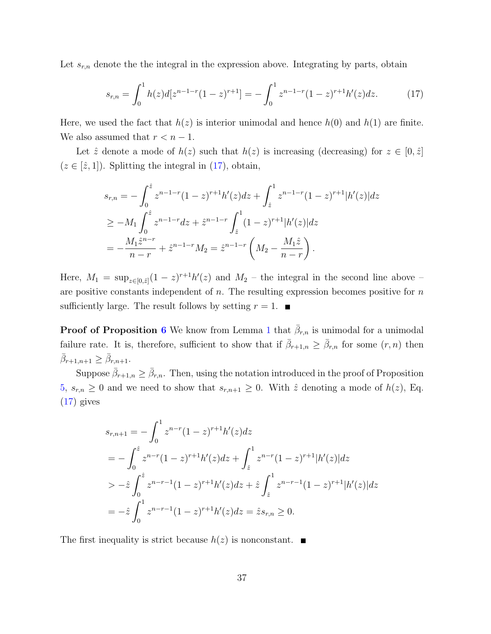Let  $s_{r,n}$  denote the the integral in the expression above. Integrating by parts, obtain

<span id="page-36-0"></span>
$$
s_{r,n} = \int_0^1 h(z)d[z^{n-1-r}(1-z)^{r+1}] = -\int_0^1 z^{n-1-r}(1-z)^{r+1}h'(z)dz.
$$
 (17)

Here, we used the fact that  $h(z)$  is interior unimodal and hence  $h(0)$  and  $h(1)$  are finite. We also assumed that  $r < n - 1$ .

Let  $\hat{z}$  denote a mode of  $h(z)$  such that  $h(z)$  is increasing (decreasing) for  $z \in [0, \hat{z}]$  $(z \in [\hat{z}, 1])$ . Splitting the integral in [\(17\)](#page-36-0), obtain,

$$
s_{r,n} = -\int_0^{\hat{z}} z^{n-1-r} (1-z)^{r+1} h'(z) dz + \int_{\hat{z}}^1 z^{n-1-r} (1-z)^{r+1} |h'(z)| dz
$$
  
\n
$$
\geq -M_1 \int_0^{\hat{z}} z^{n-1-r} dz + \hat{z}^{n-1-r} \int_{\hat{z}}^1 (1-z)^{r+1} |h'(z)| dz
$$
  
\n
$$
= -\frac{M_1 \hat{z}^{n-r}}{n-r} + \hat{z}^{n-1-r} M_2 = \hat{z}^{n-1-r} \left( M_2 - \frac{M_1 \hat{z}}{n-r} \right).
$$

Here,  $M_1 = \sup_{z \in [0,\hat{z}]} (1-z)^{r+1} h'(z)$  and  $M_2$  – the integral in the second line above – are positive constants independent of  $n$ . The resulting expression becomes positive for  $n$ sufficiently large. The result follows by setting  $r = 1$ .

**Proof of Proposition [6](#page-17-2)** We know from Lemma [1](#page-12-0) that  $\bar{\beta}_{r,n}$  is unimodal for a unimodal failure rate. It is, therefore, sufficient to show that if  $\bar{\beta}_{r+1,n} \geq \bar{\beta}_{r,n}$  for some  $(r,n)$  then  $\bar{\beta}_{r+1,n+1} \geq \bar{\beta}_{r,n+1}.$ 

Suppose  $\bar{\beta}_{r+1,n} \geq \bar{\beta}_{r,n}$ . Then, using the notation introduced in the proof of Proposition [5,](#page-16-2)  $s_{r,n} \geq 0$  and we need to show that  $s_{r,n+1} \geq 0$ . With  $\hat{z}$  denoting a mode of  $h(z)$ , Eq.  $(17)$  gives

$$
s_{r,n+1} = -\int_0^1 z^{n-r} (1-z)^{r+1} h'(z) dz
$$
  
=  $-\int_0^{\hat{z}} z^{n-r} (1-z)^{r+1} h'(z) dz + \int_{\hat{z}}^1 z^{n-r} (1-z)^{r+1} |h'(z)| dz$   
 $-\hat{z} \int_0^{\hat{z}} z^{n-r-1} (1-z)^{r+1} h'(z) dz + \hat{z} \int_{\hat{z}}^1 z^{n-r-1} (1-z)^{r+1} |h'(z)| dz$   
=  $-\hat{z} \int_0^1 z^{n-r-1} (1-z)^{r+1} h'(z) dz = \hat{z} s_{r,n} \ge 0.$ 

The first inequality is strict because  $h(z)$  is nonconstant.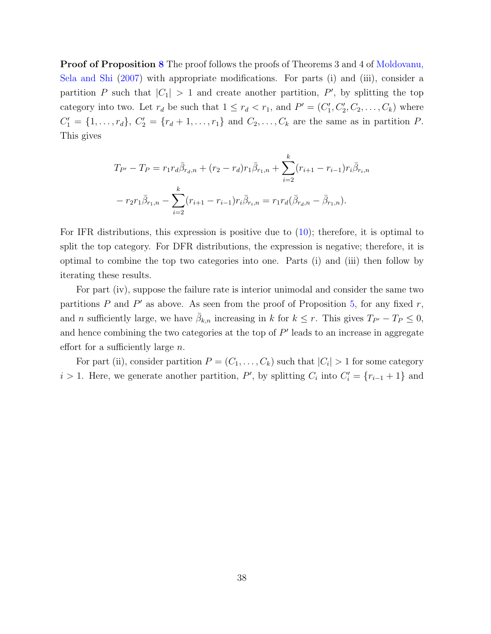Proof of Proposition [8](#page-19-2) The proof follows the proofs of Theorems 3 and 4 of [Moldovanu,](#page-29-3) [Sela and Shi](#page-29-3) [\(2007\)](#page-29-3) with appropriate modifications. For parts (i) and (iii), consider a partition P such that  $|C_1| > 1$  and create another partition, P', by splitting the top category into two. Let  $r_d$  be such that  $1 \leq r_d < r_1$ , and  $P' = (C'_1, C'_2, C_2, \ldots, C_k)$  where  $C'_1 = \{1, ..., r_d\}, C'_2 = \{r_d + 1, ..., r_1\}$  and  $C_2, ..., C_k$  are the same as in partition P. This gives

$$
T_{P'} - T_P = r_1 r_d \bar{\beta}_{r_d,n} + (r_2 - r_d) r_1 \bar{\beta}_{r_1,n} + \sum_{i=2}^k (r_{i+1} - r_{i-1}) r_i \bar{\beta}_{r_i,n}
$$

$$
- r_2 r_1 \bar{\beta}_{r_1,n} - \sum_{i=2}^k (r_{i+1} - r_{i-1}) r_i \bar{\beta}_{r_i,n} = r_1 r_d (\bar{\beta}_{r_d,n} - \bar{\beta}_{r_1,n}).
$$

For IFR distributions, this expression is positive due to  $(10)$ ; therefore, it is optimal to split the top category. For DFR distributions, the expression is negative; therefore, it is optimal to combine the top two categories into one. Parts (i) and (iii) then follow by iterating these results.

For part (iv), suppose the failure rate is interior unimodal and consider the same two partitions  $P$  and  $P'$  as above. As seen from the proof of Proposition [5,](#page-16-2) for any fixed  $r$ , and *n* sufficiently large, we have  $\bar{\beta}_{k,n}$  increasing in k for  $k \leq r$ . This gives  $T_{P'} - T_P \leq 0$ , and hence combining the two categories at the top of  $P'$  leads to an increase in aggregate effort for a sufficiently large  $n$ .

For part (ii), consider partition  $P = (C_1, \ldots, C_k)$  such that  $|C_i| > 1$  for some category  $i > 1$ . Here, we generate another partition, P', by splitting  $C_i$  into  $C'_i = \{r_{i-1} + 1\}$  and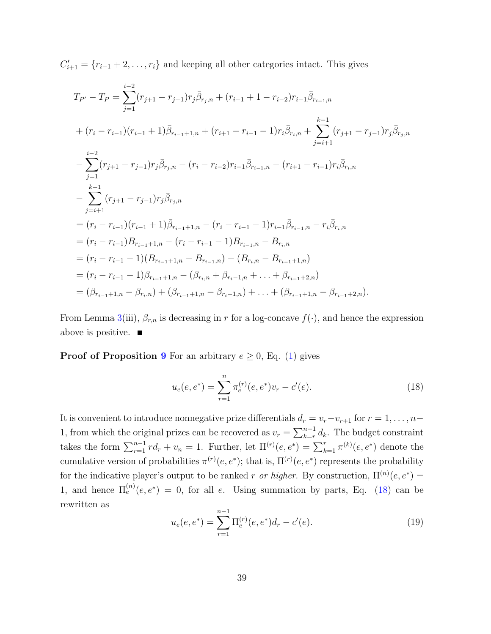$C'_{i+1} = \{r_{i-1} + 2, \ldots, r_i\}$  and keeping all other categories intact. This gives

$$
T_{P'} - T_P = \sum_{j=1}^{i-2} (r_{j+1} - r_{j-1}) r_j \bar{\beta}_{r_j, n} + (r_{i-1} + 1 - r_{i-2}) r_{i-1} \bar{\beta}_{r_{i-1}, n}
$$
  
+ 
$$
(r_i - r_{i-1})(r_{i-1} + 1) \bar{\beta}_{r_{i-1}+1, n} + (r_{i+1} - r_{i-1} - 1) r_i \bar{\beta}_{r_i, n} + \sum_{j=i+1}^{k-1} (r_{j+1} - r_{j-1}) r_j \bar{\beta}_{r_j, n}
$$
  
- 
$$
\sum_{j=1}^{i-2} (r_{j+1} - r_{j-1}) r_j \bar{\beta}_{r_j, n} - (r_i - r_{i-2}) r_{i-1} \bar{\beta}_{r_{i-1}, n} - (r_{i+1} - r_{i-1}) r_i \bar{\beta}_{r_i, n}
$$
  
- 
$$
\sum_{j=i+1}^{k-1} (r_{j+1} - r_{j-1}) r_j \bar{\beta}_{r_j, n}
$$
  
= 
$$
(r_i - r_{i-1})(r_{i-1} + 1) \bar{\beta}_{r_{i-1}+1, n} - (r_i - r_{i-1} - 1) r_{i-1} \bar{\beta}_{r_{i-1}, n} - r_i \bar{\beta}_{r_i, n}
$$
  
= 
$$
(r_i - r_{i-1}) B_{r_{i-1}+1, n} - (r_i - r_{i-1} - 1) B_{r_{i-1}, n} - B_{r_i, n}
$$
  
= 
$$
(r_i - r_{i-1} - 1)(B_{r_{i-1}+1, n} - B_{r_{i-1}, n}) - (B_{r_i, n} - B_{r_{i-1}+1, n})
$$
  
= 
$$
(r_i - r_{i-1} - 1) \beta_{r_{i-1}+1, n} - (\beta_{r_i, n} + \beta_{r_i-1, n} + \dots + \beta_{r_{i-1}+2, n})
$$
  
= 
$$
(\beta_{r_{i-1}+1, n} - \beta_{r_i, n}) + (\beta_{r_{i-1}+1, n} - \beta_{r_{i-1}, n}) + \dots + (\beta_{r_{i-1}+1, n} - \beta_{r_{i-1}+2, n}).
$$

From Lemma [3\(](#page-32-0)iii),  $\beta_{r,n}$  is decreasing in r for a log-concave  $f(\cdot)$ , and hence the expression above is positive.  $\blacksquare$ 

**Proof of Proposition [9](#page-21-1)** For an arbitrary  $e \ge 0$ , Eq. [\(1\)](#page-7-3) gives

<span id="page-38-0"></span>
$$
u_e(e, e^*) = \sum_{r=1}^n \pi_e^{(r)}(e, e^*) v_r - c'(e).
$$
 (18)

It is convenient to introduce nonnegative prize differentials  $d_r = v_r - v_{r+1}$  for  $r = 1, \ldots, n-1$ 1, from which the original prizes can be recovered as  $v_r = \sum_{k=r}^{n-1} d_k$ . The budget constraint takes the form  $\sum_{r=1}^{n-1} r d_r + v_n = 1$ . Further, let  $\Pi^{(r)}(e, e^*) = \sum_{k=1}^r \pi^{(k)}(e, e^*)$  denote the cumulative version of probabilities  $\pi^{(r)}(e, e^*)$ ; that is,  $\Pi^{(r)}(e, e^*)$  represents the probability for the indicative player's output to be ranked r or higher. By construction,  $\Pi^{(n)}(e, e^*) =$ 1, and hence  $\Pi_e^{(n)}(e,e^*) = 0$ , for all e. Using summation by parts, Eq. [\(18\)](#page-38-0) can be rewritten as

<span id="page-38-1"></span>
$$
u_e(e, e^*) = \sum_{r=1}^{n-1} \Pi_e^{(r)}(e, e^*) d_r - c'(e).
$$
 (19)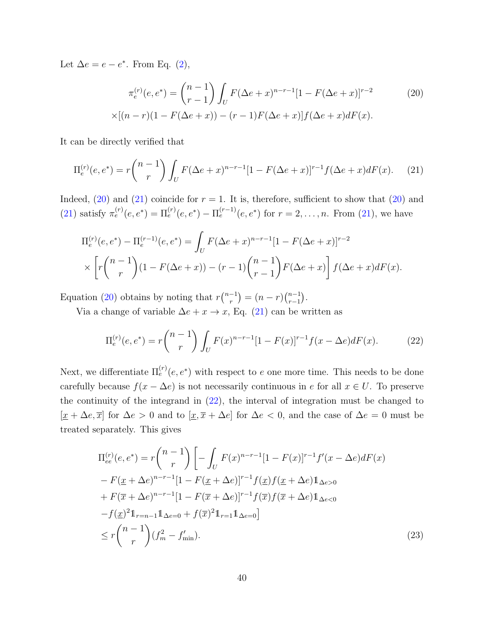Let  $\Delta e = e - e^*$ . From Eq. [\(2\)](#page-7-4),

<span id="page-39-2"></span>
$$
\pi_e^{(r)}(e, e^*) = {n-1 \choose r-1} \int_U F(\Delta e + x)^{n-r-1} [1 - F(\Delta e + x)]^{r-2}
$$
\n
$$
\times [(n-r)(1 - F(\Delta e + x)) - (r-1)F(\Delta e + x)] f(\Delta e + x) dF(x).
$$
\n(20)

It can be directly verified that

<span id="page-39-1"></span>
$$
\Pi_e^{(r)}(e, e^*) = r \binom{n-1}{r} \int_U F(\Delta e + x)^{n-r-1} [1 - F(\Delta e + x)]^{r-1} f(\Delta e + x) dF(x). \tag{21}
$$

Indeed,  $(20)$  and  $(21)$  coincide for  $r = 1$ . It is, therefore, sufficient to show that  $(20)$  and [\(21\)](#page-39-1) satisfy  $\pi_e^{(r)}(e, e^*) = \Pi_e^{(r)}(e, e^*) - \Pi_e^{(r-1)}(e, e^*)$  for  $r = 2, ..., n$ . From [\(21\)](#page-39-1), we have

$$
\Pi_e^{(r)}(e, e^*) - \Pi_e^{(r-1)}(e, e^*) = \int_U F(\Delta e + x)^{n-r-1} [1 - F(\Delta e + x)]^{r-2}
$$
  
 
$$
\times \left[ r \binom{n-1}{r} (1 - F(\Delta e + x)) - (r-1) \binom{n-1}{r-1} F(\Delta e + x) \right] f(\Delta e + x) dF(x).
$$

Equation [\(20\)](#page-39-2) obtains by noting that  $r\binom{n-1}{r}$  $r^{-1}$ ) =  $(n - r)$  $\binom{n-1}{r-1}$  $_{r-1}^{n-1}$ ).

Via a change of variable  $\Delta e + x \rightarrow x$ , Eq. [\(21\)](#page-39-1) can be written as

<span id="page-39-0"></span>
$$
\Pi_e^{(r)}(e, e^*) = r \binom{n-1}{r} \int_U F(x)^{n-r-1} [1 - F(x)]^{r-1} f(x - \Delta e) dF(x).
$$
 (22)

Next, we differentiate  $\Pi_e^{(r)}(e, e^*)$  with respect to e one more time. This needs to be done carefully because  $f(x - \Delta e)$  is not necessarily continuous in e for all  $x \in U$ . To preserve the continuity of the integrand in [\(22\)](#page-39-0), the interval of integration must be changed to  $[\underline{x} + \Delta e, \overline{x}]$  for  $\Delta e > 0$  and to  $[\underline{x}, \overline{x} + \Delta e]$  for  $\Delta e < 0$ , and the case of  $\Delta e = 0$  must be treated separately. This gives

<span id="page-39-3"></span>
$$
\Pi_{ee}^{(r)}(e, e^*) = r \binom{n-1}{r} \left[ - \int_U F(x)^{n-r-1} [1 - F(x)]^{r-1} f'(x - \Delta e) dF(x) \right. \n- F(\underline{x} + \Delta e)^{n-r-1} [1 - F(\underline{x} + \Delta e)]^{r-1} f(\underline{x}) f(\underline{x} + \Delta e) \mathbb{1}_{\Delta e > 0} \n+ F(\overline{x} + \Delta e)^{n-r-1} [1 - F(\overline{x} + \Delta e)]^{r-1} f(\overline{x}) f(\overline{x} + \Delta e) \mathbb{1}_{\Delta e < 0} \n- f(\underline{x})^2 \mathbb{1}_{r=n-1} \mathbb{1}_{\Delta e = 0} + f(\overline{x})^2 \mathbb{1}_{r=1} \mathbb{1}_{\Delta e = 0} \right] \n\le r \binom{n-1}{r} (f_m^2 - f_{\min}'). \tag{23}
$$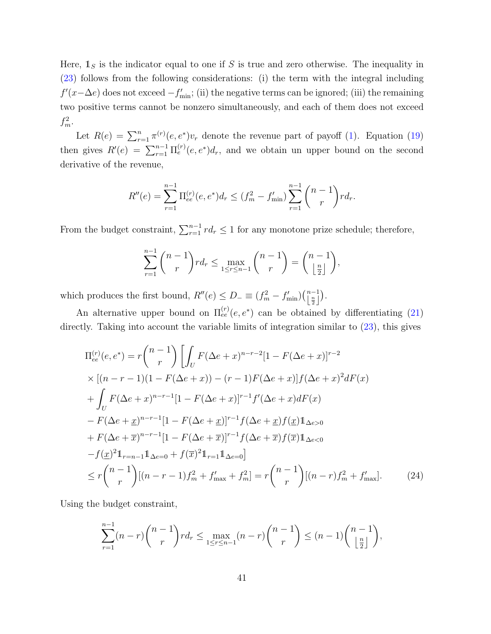Here,  $\mathbb{1}_S$  is the indicator equal to one if S is true and zero otherwise. The inequality in [\(23\)](#page-39-3) follows from the following considerations: (i) the term with the integral including  $f'(x-\Delta e)$  does not exceed  $-f'_{\text{min}}$ ; (ii) the negative terms can be ignored; (iii) the remaining two positive terms cannot be nonzero simultaneously, and each of them does not exceed  $f_m^2$ .

Let  $R(e) = \sum_{r=1}^{n} \pi^{(r)}(e, e^*) v_r$  denote the revenue part of payoff [\(1\)](#page-7-3). Equation [\(19\)](#page-38-1) then gives  $R'(e) = \sum_{r=1}^{n-1} \prod_e^{(r)}(e, e^*) d_r$ , and we obtain un upper bound on the second derivative of the revenue,

$$
R''(e) = \sum_{r=1}^{n-1} \Pi_{ee}^{(r)}(e, e^*) d_r \le (f_m^2 - f_{\min}') \sum_{r=1}^{n-1} {n-1 \choose r} r d_r.
$$

From the budget constraint,  $\sum_{r=1}^{n-1} rd_r \leq 1$  for any monotone prize schedule; therefore,

$$
\sum_{r=1}^{n-1} {n-1 \choose r} r d_r \le \max_{1 \le r \le n-1} {n-1 \choose r} = {n-1 \choose \lfloor \frac{n}{2} \rfloor},
$$

which produces the first bound,  $R''(e) \le D_- \equiv (f_m^2 - f'_{\min})(\begin{pmatrix} n-1 \\ \frac{n}{2} \end{pmatrix}).$ 

An alternative upper bound on  $\Pi_{ee}^{(r)}(e,e^*)$  can be obtained by differentiating [\(21\)](#page-39-1) directly. Taking into account the variable limits of integration similar to [\(23\)](#page-39-3), this gives

$$
\Pi_{ee}^{(r)}(e, e^*) = r \binom{n-1}{r} \left[ \int_U F(\Delta e + x)^{n-r-2} [1 - F(\Delta e + x)]^{r-2} \times [(n-r-1)(1 - F(\Delta e + x)) - (r-1)F(\Delta e + x)] f(\Delta e + x)^2 dF(x) \right]
$$
  
+ 
$$
\int_U F(\Delta e + x)^{n-r-1} [1 - F(\Delta e + x)]^{r-1} f'(\Delta e + x) dF(x)
$$
  
- 
$$
F(\Delta e + x)^{n-r-1} [1 - F(\Delta e + x)]^{r-1} f(\Delta e + x) f(x) 1_{\Delta e > 0}
$$
  
+ 
$$
F(\Delta e + \overline{x})^{n-r-1} [1 - F(\Delta e + \overline{x})]^{r-1} f(\Delta e + \overline{x}) f(\overline{x}) 1_{\Delta e < 0}
$$
  
- 
$$
f(x)^2 1_{r=n-1} 1_{\Delta e=0} + f(\overline{x})^2 1_{r=1} 1_{\Delta e=0}]
$$
  
\$\leq r \binom{n-1}{r} [(n-r-1) f\_m^2 + f\_{\text{max}}' + f\_m^2] = r \binom{n-1}{r} [(n-r) f\_m^2 + f\_{\text{max}}'] . \tag{24}

Using the budget constraint,

$$
\sum_{r=1}^{n-1} (n-r) \binom{n-1}{r} r d_r \le \max_{1 \le r \le n-1} (n-r) \binom{n-1}{r} \le (n-1) \binom{n-1}{\lfloor \frac{n}{2} \rfloor}
$$

,